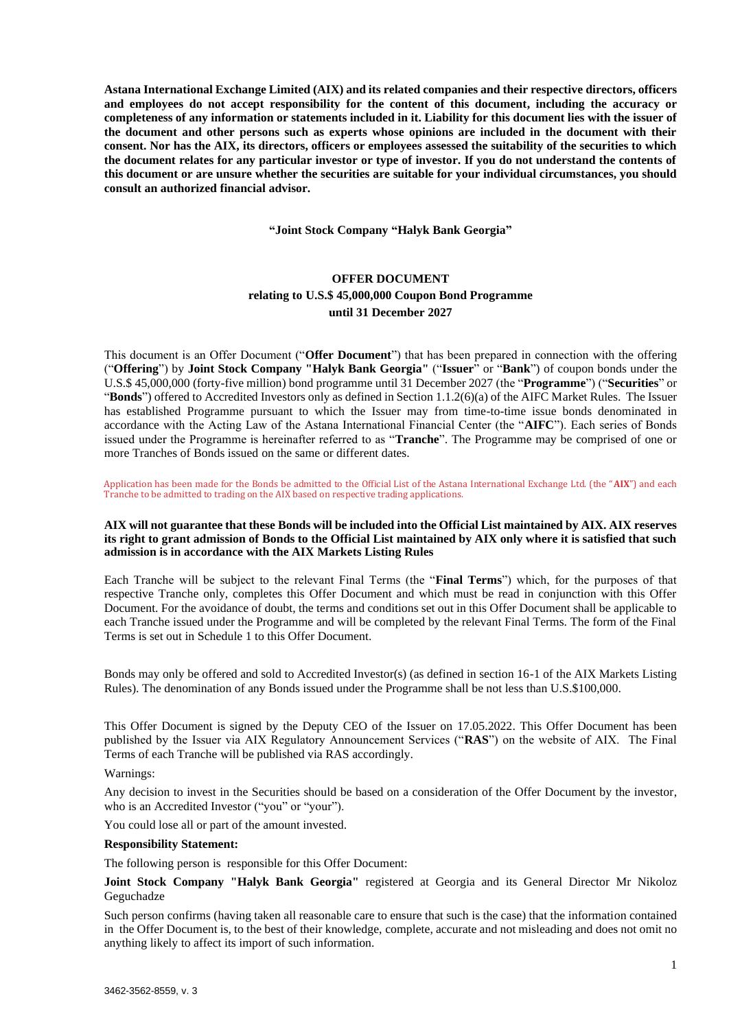**Astana International Exchange Limited (AIX) and its related companies and their respective directors, officers and employees do not accept responsibility for the content of this document, including the accuracy or completeness of any information or statements included in it. Liability for this document lies with the issuer of the document and other persons such as experts whose opinions are included in the document with their consent. Nor has the AIX, its directors, officers or employees assessed the suitability of the securities to which the document relates for any particular investor or type of investor. If you do not understand the contents of this document or are unsure whether the securities are suitable for your individual circumstances, you should consult an authorized financial advisor.** 

**"Joint Stock Company "Halyk Bank Georgia"** 

# **OFFER DOCUMENT relating to U.S.\$ 45,000,000 Coupon Bond Programme until 31 December 2027**

This document is an Offer Document ("**Offer Document**") that has been prepared in connection with the offering ("**Offering**") by **Joint Stock Company "Halyk Bank Georgia"** ("**Issuer**" or "**Bank**") of coupon bonds under the U.S.\$ 45,000,000 (forty-five million) bond programme until 31 December 2027 (the "**Programme**") ("**Securities**" or "**Bonds**") offered to Accredited Investors only as defined in Section 1.1.2(6)(a) of the AIFC Market Rules. The Issuer has established Programme pursuant to which the Issuer may from time-to-time issue bonds denominated in accordance with the Acting Law of the Astana International Financial Center (the "**AIFC**"). Each series of Bonds issued under the Programme is hereinafter referred to as "**Tranche**". The Programme may be comprised of one or more Tranches of Bonds issued on the same or different dates.

Application has been made for the Bonds be admitted to the Official List of the Astana International Exchange Ltd. (the "**AIX**") and each Tranche to be admitted to trading on the AIX based on respective trading applications.

#### **AIX will not guarantee that these Bonds will be included into the Official List maintained by AIX. AIX reserves its right to grant admission of Bonds to the Official List maintained by AIX only where it is satisfied that such admission is in accordance with the AIX Markets Listing Rules**

Each Tranche will be subject to the relevant Final Terms (the "**Final Terms**") which, for the purposes of that respective Tranche only, completes this Offer Document and which must be read in conjunction with this Offer Document. For the avoidance of doubt, the terms and conditions set out in this Offer Document shall be applicable to each Tranche issued under the Programme and will be completed by the relevant Final Terms. The form of the Final Terms is set out in Schedule 1 to this Offer Document.

Bonds may only be offered and sold to Accredited Investor(s) (as defined in section 16-1 of the AIX Markets Listing Rules). The denomination of any Bonds issued under the Programme shall be not less than U.S.\$100,000.

This Offer Document is signed by the Deputy CEO of the Issuer on 17.05.2022. This Offer Document has been published by the Issuer via AIX Regulatory Announcement Services ("**RAS**") on the website of AIX. The Final Terms of each Tranche will be published via RAS accordingly.

Warnings:

Any decision to invest in the Securities should be based on a consideration of the Offer Document by the investor, who is an Accredited Investor ("you" or "your").

You could lose all or part of the amount invested.

#### **Responsibility Statement:**

The following person is responsible for this Offer Document:

**Joint Stock Company "Halyk Bank Georgia"** registered at Georgia and its General Director Mr Nikoloz Geguchadze

Such person confirms (having taken all reasonable care to ensure that such is the case) that the information contained in the Offer Document is, to the best of their knowledge, complete, accurate and not misleading and does not omit no anything likely to affect its import of such information.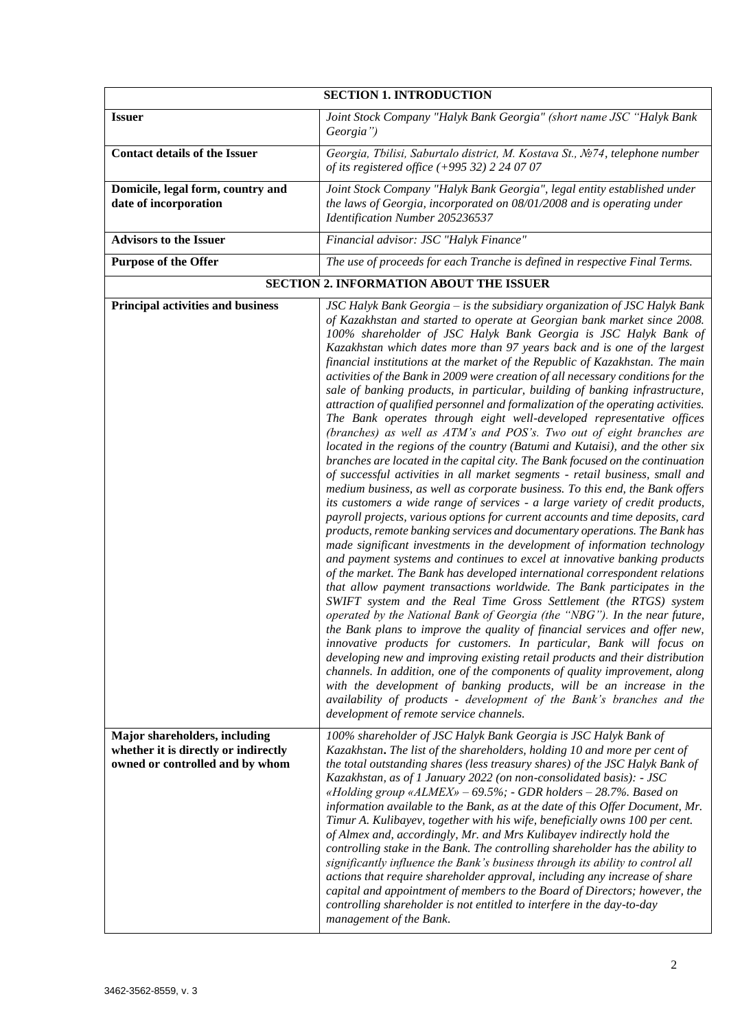| <b>SECTION 1. INTRODUCTION</b>                                                                           |                                                                                                                                                                                                                                                                                                                                                                                                                                                                                                                                                                                                                                                                                                                                                                                                                                                                                                                                                                                                                                                                                                                                                                                                                                                                                                                                                                                                                                                                                                                                                                                                                                                                                                                                                                                                                                                                                                                                                                                                                                                                                                                                                                                                                                                                                                                                                                        |
|----------------------------------------------------------------------------------------------------------|------------------------------------------------------------------------------------------------------------------------------------------------------------------------------------------------------------------------------------------------------------------------------------------------------------------------------------------------------------------------------------------------------------------------------------------------------------------------------------------------------------------------------------------------------------------------------------------------------------------------------------------------------------------------------------------------------------------------------------------------------------------------------------------------------------------------------------------------------------------------------------------------------------------------------------------------------------------------------------------------------------------------------------------------------------------------------------------------------------------------------------------------------------------------------------------------------------------------------------------------------------------------------------------------------------------------------------------------------------------------------------------------------------------------------------------------------------------------------------------------------------------------------------------------------------------------------------------------------------------------------------------------------------------------------------------------------------------------------------------------------------------------------------------------------------------------------------------------------------------------------------------------------------------------------------------------------------------------------------------------------------------------------------------------------------------------------------------------------------------------------------------------------------------------------------------------------------------------------------------------------------------------------------------------------------------------------------------------------------------------|
| <b>Issuer</b>                                                                                            | Joint Stock Company "Halyk Bank Georgia" (short name JSC "Halyk Bank<br>Georgia")                                                                                                                                                                                                                                                                                                                                                                                                                                                                                                                                                                                                                                                                                                                                                                                                                                                                                                                                                                                                                                                                                                                                                                                                                                                                                                                                                                                                                                                                                                                                                                                                                                                                                                                                                                                                                                                                                                                                                                                                                                                                                                                                                                                                                                                                                      |
| <b>Contact details of the Issuer</b>                                                                     | Georgia, Tbilisi, Saburtalo district, M. Kostava St., №74, telephone number<br>of its registered office (+995 32) 2 24 07 07                                                                                                                                                                                                                                                                                                                                                                                                                                                                                                                                                                                                                                                                                                                                                                                                                                                                                                                                                                                                                                                                                                                                                                                                                                                                                                                                                                                                                                                                                                                                                                                                                                                                                                                                                                                                                                                                                                                                                                                                                                                                                                                                                                                                                                           |
| Domicile, legal form, country and<br>date of incorporation                                               | Joint Stock Company "Halyk Bank Georgia", legal entity established under<br>the laws of Georgia, incorporated on 08/01/2008 and is operating under<br>Identification Number 205236537                                                                                                                                                                                                                                                                                                                                                                                                                                                                                                                                                                                                                                                                                                                                                                                                                                                                                                                                                                                                                                                                                                                                                                                                                                                                                                                                                                                                                                                                                                                                                                                                                                                                                                                                                                                                                                                                                                                                                                                                                                                                                                                                                                                  |
| <b>Advisors to the Issuer</b>                                                                            | Financial advisor: JSC "Halyk Finance"                                                                                                                                                                                                                                                                                                                                                                                                                                                                                                                                                                                                                                                                                                                                                                                                                                                                                                                                                                                                                                                                                                                                                                                                                                                                                                                                                                                                                                                                                                                                                                                                                                                                                                                                                                                                                                                                                                                                                                                                                                                                                                                                                                                                                                                                                                                                 |
| <b>Purpose of the Offer</b>                                                                              | The use of proceeds for each Tranche is defined in respective Final Terms.                                                                                                                                                                                                                                                                                                                                                                                                                                                                                                                                                                                                                                                                                                                                                                                                                                                                                                                                                                                                                                                                                                                                                                                                                                                                                                                                                                                                                                                                                                                                                                                                                                                                                                                                                                                                                                                                                                                                                                                                                                                                                                                                                                                                                                                                                             |
|                                                                                                          | <b>SECTION 2. INFORMATION ABOUT THE ISSUER</b>                                                                                                                                                                                                                                                                                                                                                                                                                                                                                                                                                                                                                                                                                                                                                                                                                                                                                                                                                                                                                                                                                                                                                                                                                                                                                                                                                                                                                                                                                                                                                                                                                                                                                                                                                                                                                                                                                                                                                                                                                                                                                                                                                                                                                                                                                                                         |
| Principal activities and business                                                                        | JSC Halyk Bank Georgia - is the subsidiary organization of JSC Halyk Bank<br>of Kazakhstan and started to operate at Georgian bank market since 2008.<br>100% shareholder of JSC Halyk Bank Georgia is JSC Halyk Bank of<br>Kazakhstan which dates more than 97 years back and is one of the largest<br>financial institutions at the market of the Republic of Kazakhstan. The main<br>activities of the Bank in 2009 were creation of all necessary conditions for the<br>sale of banking products, in particular, building of banking infrastructure,<br>attraction of qualified personnel and formalization of the operating activities.<br>The Bank operates through eight well-developed representative offices<br>(branches) as well as ATM's and POS's. Two out of eight branches are<br>located in the regions of the country (Batumi and Kutaisi), and the other six<br>branches are located in the capital city. The Bank focused on the continuation<br>of successful activities in all market segments - retail business, small and<br>medium business, as well as corporate business. To this end, the Bank offers<br>its customers a wide range of services - a large variety of credit products,<br>payroll projects, various options for current accounts and time deposits, card<br>products, remote banking services and documentary operations. The Bank has<br>made significant investments in the development of information technology<br>and payment systems and continues to excel at innovative banking products<br>of the market. The Bank has developed international correspondent relations<br>that allow payment transactions worldwide. The Bank participates in the<br>SWIFT system and the Real Time Gross Settlement (the RTGS) system<br>operated by the National Bank of Georgia (the "NBG"). In the near future,<br>the Bank plans to improve the quality of financial services and offer new,<br>innovative products for customers. In particular, Bank will focus on<br>developing new and improving existing retail products and their distribution<br>channels. In addition, one of the components of quality improvement, along<br>with the development of banking products, will be an increase in the<br>availability of products - development of the Bank's branches and the<br>development of remote service channels. |
| Major shareholders, including<br>whether it is directly or indirectly<br>owned or controlled and by whom | 100% shareholder of JSC Halyk Bank Georgia is JSC Halyk Bank of<br>Kazakhstan. The list of the shareholders, holding 10 and more per cent of<br>the total outstanding shares (less treasury shares) of the JSC Halyk Bank of<br>Kazakhstan, as of 1 January 2022 (on non-consolidated basis): - JSC<br>«Holding group «ALMEX» - 69.5%; - GDR holders - 28.7%. Based on<br>information available to the Bank, as at the date of this Offer Document, Mr.<br>Timur A. Kulibayev, together with his wife, beneficially owns 100 per cent.<br>of Almex and, accordingly, Mr. and Mrs Kulibayev indirectly hold the<br>controlling stake in the Bank. The controlling shareholder has the ability to<br>significantly influence the Bank's business through its ability to control all<br>actions that require shareholder approval, including any increase of share<br>capital and appointment of members to the Board of Directors; however, the<br>controlling shareholder is not entitled to interfere in the day-to-day<br>management of the Bank.                                                                                                                                                                                                                                                                                                                                                                                                                                                                                                                                                                                                                                                                                                                                                                                                                                                                                                                                                                                                                                                                                                                                                                                                                                                                                                                     |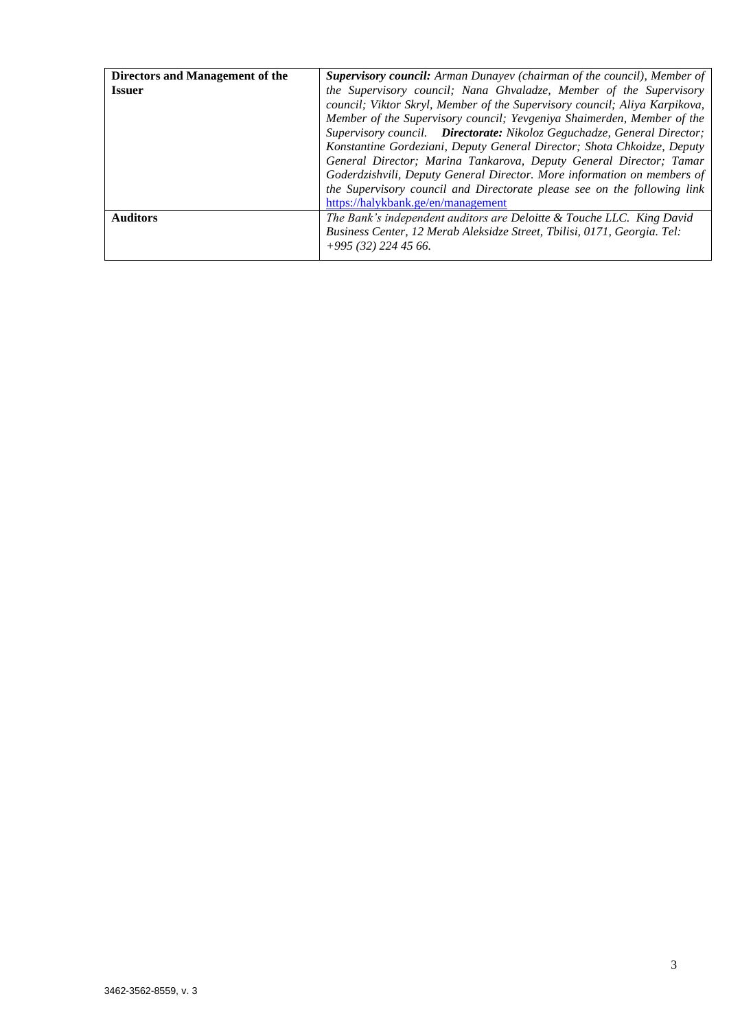| Directors and Management of the | <b>Supervisory council:</b> Arman Dunayev (chairman of the council), Member of |  |  |
|---------------------------------|--------------------------------------------------------------------------------|--|--|
| <b>Issuer</b>                   | the Supervisory council; Nana Ghvaladze, Member of the Supervisory             |  |  |
|                                 | council; Viktor Skryl, Member of the Supervisory council; Aliya Karpikova,     |  |  |
|                                 | Member of the Supervisory council; Yevgeniya Shaimerden, Member of the         |  |  |
|                                 | Supervisory council. Directorate: Nikoloz Geguchadze, General Director;        |  |  |
|                                 | Konstantine Gordeziani, Deputy General Director; Shota Chkoidze, Deputy        |  |  |
|                                 | General Director; Marina Tankarova, Deputy General Director; Tamar             |  |  |
|                                 | Goderdzishvili, Deputy General Director. More information on members of        |  |  |
|                                 | the Supervisory council and Directorate please see on the following link       |  |  |
|                                 | https://halykbank.ge/en/management                                             |  |  |
| <b>Auditors</b>                 | The Bank's independent auditors are Deloitte & Touche LLC. King David          |  |  |
|                                 | Business Center, 12 Merab Aleksidze Street, Tbilisi, 0171, Georgia. Tel:       |  |  |
|                                 | $+995(32)$ 224 45 66.                                                          |  |  |
|                                 |                                                                                |  |  |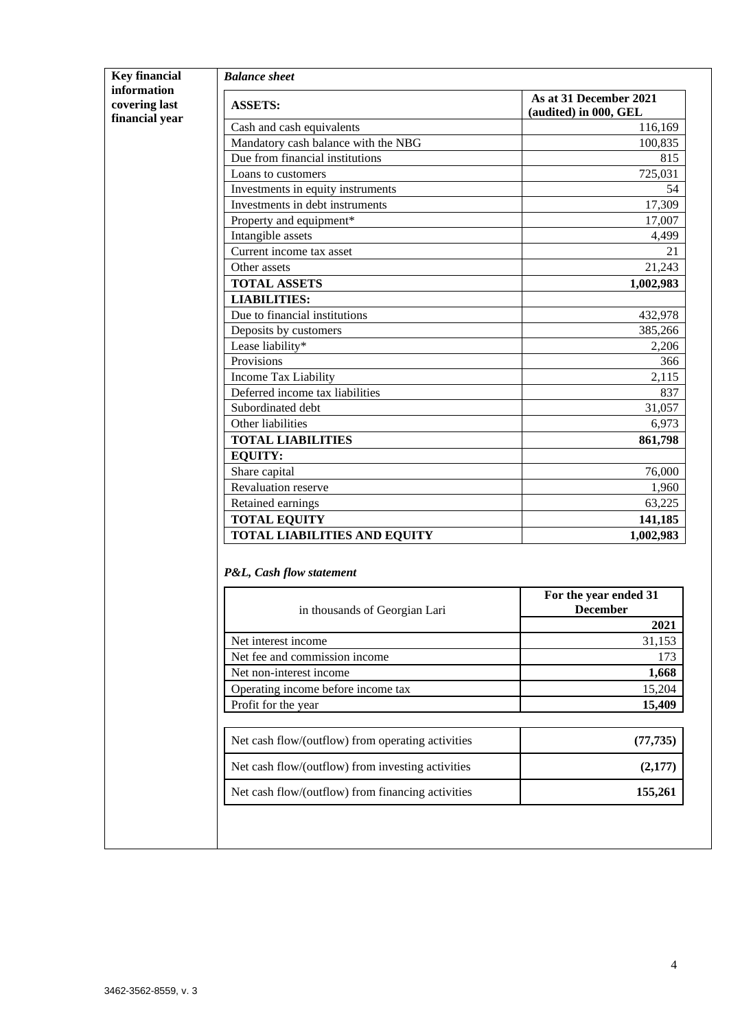|                                                | <b>Balance</b> sheet                                      |                                                  |
|------------------------------------------------|-----------------------------------------------------------|--------------------------------------------------|
| information<br>covering last<br>financial year | <b>ASSETS:</b>                                            | As at 31 December 2021<br>(audited) in 000, GEL  |
|                                                | Cash and cash equivalents                                 | 116,169                                          |
|                                                | Mandatory cash balance with the NBG                       | 100,835                                          |
|                                                | Due from financial institutions                           | 815                                              |
|                                                | Loans to customers                                        | 725,031                                          |
|                                                | Investments in equity instruments                         | 54                                               |
|                                                | Investments in debt instruments                           | 17,309                                           |
|                                                | Property and equipment*                                   | 17,007                                           |
|                                                | Intangible assets                                         | 4,499                                            |
|                                                | Current income tax asset                                  | 21                                               |
|                                                | Other assets                                              | 21,243                                           |
|                                                | <b>TOTAL ASSETS</b>                                       | 1,002,983                                        |
|                                                | <b>LIABILITIES:</b>                                       |                                                  |
|                                                | Due to financial institutions                             | 432,978                                          |
|                                                | Deposits by customers                                     | 385,266                                          |
|                                                | Lease liability*                                          | 2,206                                            |
|                                                | Provisions                                                | 366                                              |
|                                                | Income Tax Liability                                      | 2,115                                            |
|                                                | Deferred income tax liabilities                           | 837                                              |
|                                                | Subordinated debt                                         | 31,057                                           |
|                                                | Other liabilities                                         | 6,973                                            |
|                                                | <b>TOTAL LIABILITIES</b>                                  | 861,798                                          |
|                                                | <b>EQUITY:</b>                                            |                                                  |
|                                                | Share capital                                             | 76,000                                           |
|                                                | Revaluation reserve                                       | 1,960                                            |
|                                                | Retained earnings                                         | 63,225                                           |
|                                                | <b>TOTAL EQUITY</b>                                       | 141,185                                          |
|                                                | <b>TOTAL LIABILITIES AND EQUITY</b>                       | 1,002,983                                        |
|                                                | P&L, Cash flow statement<br>in thousands of Georgian Lari | For the year ended 31<br><b>December</b><br>2021 |
|                                                | Net interest income                                       | 31,153                                           |
|                                                | Net fee and commission income                             | 173                                              |
|                                                | Net non-interest income                                   | 1,668                                            |
|                                                | Operating income before income tax                        | 15,204                                           |
|                                                |                                                           |                                                  |
|                                                | Profit for the year                                       | 15,409                                           |
|                                                | Net cash flow/(outflow) from operating activities         | (77, 735)                                        |
|                                                | Net cash flow/(outflow) from investing activities         | (2,177)                                          |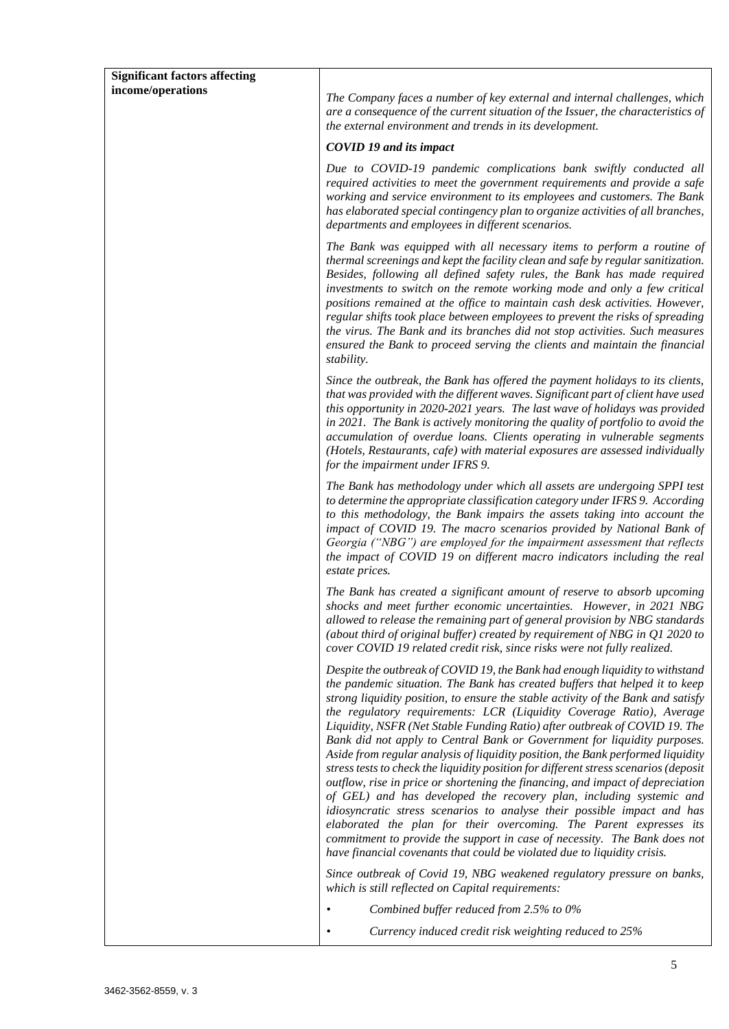| <b>Significant factors affecting</b> |                                                                                                                                                                                                                                                                                                                                                                                                                                                                                                                                                                                                                                                                                                                                                                                                                                                                                                                                                                                                                                                                                                                                 |
|--------------------------------------|---------------------------------------------------------------------------------------------------------------------------------------------------------------------------------------------------------------------------------------------------------------------------------------------------------------------------------------------------------------------------------------------------------------------------------------------------------------------------------------------------------------------------------------------------------------------------------------------------------------------------------------------------------------------------------------------------------------------------------------------------------------------------------------------------------------------------------------------------------------------------------------------------------------------------------------------------------------------------------------------------------------------------------------------------------------------------------------------------------------------------------|
| income/operations                    | The Company faces a number of key external and internal challenges, which<br>are a consequence of the current situation of the Issuer, the characteristics of<br>the external environment and trends in its development.                                                                                                                                                                                                                                                                                                                                                                                                                                                                                                                                                                                                                                                                                                                                                                                                                                                                                                        |
|                                      | <b>COVID 19 and its impact</b>                                                                                                                                                                                                                                                                                                                                                                                                                                                                                                                                                                                                                                                                                                                                                                                                                                                                                                                                                                                                                                                                                                  |
|                                      | Due to COVID-19 pandemic complications bank swiftly conducted all<br>required activities to meet the government requirements and provide a safe<br>working and service environment to its employees and customers. The Bank<br>has elaborated special contingency plan to organize activities of all branches,<br>departments and employees in different scenarios.                                                                                                                                                                                                                                                                                                                                                                                                                                                                                                                                                                                                                                                                                                                                                             |
|                                      | The Bank was equipped with all necessary items to perform a routine of<br>thermal screenings and kept the facility clean and safe by regular sanitization.<br>Besides, following all defined safety rules, the Bank has made required<br>investments to switch on the remote working mode and only a few critical<br>positions remained at the office to maintain cash desk activities. However,<br>regular shifts took place between employees to prevent the risks of spreading<br>the virus. The Bank and its branches did not stop activities. Such measures<br>ensured the Bank to proceed serving the clients and maintain the financial<br>stability.                                                                                                                                                                                                                                                                                                                                                                                                                                                                    |
|                                      | Since the outbreak, the Bank has offered the payment holidays to its clients,<br>that was provided with the different waves. Significant part of client have used<br>this opportunity in 2020-2021 years. The last wave of holidays was provided<br>in 2021. The Bank is actively monitoring the quality of portfolio to avoid the<br>accumulation of overdue loans. Clients operating in vulnerable segments<br>(Hotels, Restaurants, cafe) with material exposures are assessed individually<br>for the impairment under IFRS 9.                                                                                                                                                                                                                                                                                                                                                                                                                                                                                                                                                                                              |
|                                      | The Bank has methodology under which all assets are undergoing SPPI test<br>to determine the appropriate classification category under IFRS 9. According<br>to this methodology, the Bank impairs the assets taking into account the<br>impact of COVID 19. The macro scenarios provided by National Bank of<br>Georgia ("NBG") are employed for the impairment assessment that reflects<br>the impact of COVID 19 on different macro indicators including the real<br>estate prices.                                                                                                                                                                                                                                                                                                                                                                                                                                                                                                                                                                                                                                           |
|                                      | The Bank has created a significant amount of reserve to absorb upcoming<br>shocks and meet further economic uncertainties. However, in 2021 NBG<br>allowed to release the remaining part of general provision by NBG standards<br>(about third of original buffer) created by requirement of NBG in $Q1$ 2020 to<br>cover COVID 19 related credit risk, since risks were not fully realized.                                                                                                                                                                                                                                                                                                                                                                                                                                                                                                                                                                                                                                                                                                                                    |
|                                      | Despite the outbreak of COVID 19, the Bank had enough liquidity to withstand<br>the pandemic situation. The Bank has created buffers that helped it to keep<br>strong liquidity position, to ensure the stable activity of the Bank and satisfy<br>the regulatory requirements: LCR (Liquidity Coverage Ratio), Average<br>Liquidity, NSFR (Net Stable Funding Ratio) after outbreak of COVID 19. The<br>Bank did not apply to Central Bank or Government for liquidity purposes.<br>Aside from regular analysis of liquidity position, the Bank performed liquidity<br>stress tests to check the liquidity position for different stress scenarios (deposit<br>outflow, rise in price or shortening the financing, and impact of depreciation<br>of GEL) and has developed the recovery plan, including systemic and<br>idiosyncratic stress scenarios to analyse their possible impact and has<br>elaborated the plan for their overcoming. The Parent expresses its<br>commitment to provide the support in case of necessity. The Bank does not<br>have financial covenants that could be violated due to liquidity crisis. |
|                                      | Since outbreak of Covid 19, NBG weakened regulatory pressure on banks,<br>which is still reflected on Capital requirements:                                                                                                                                                                                                                                                                                                                                                                                                                                                                                                                                                                                                                                                                                                                                                                                                                                                                                                                                                                                                     |
|                                      | Combined buffer reduced from 2.5% to 0%                                                                                                                                                                                                                                                                                                                                                                                                                                                                                                                                                                                                                                                                                                                                                                                                                                                                                                                                                                                                                                                                                         |
|                                      | Currency induced credit risk weighting reduced to 25%                                                                                                                                                                                                                                                                                                                                                                                                                                                                                                                                                                                                                                                                                                                                                                                                                                                                                                                                                                                                                                                                           |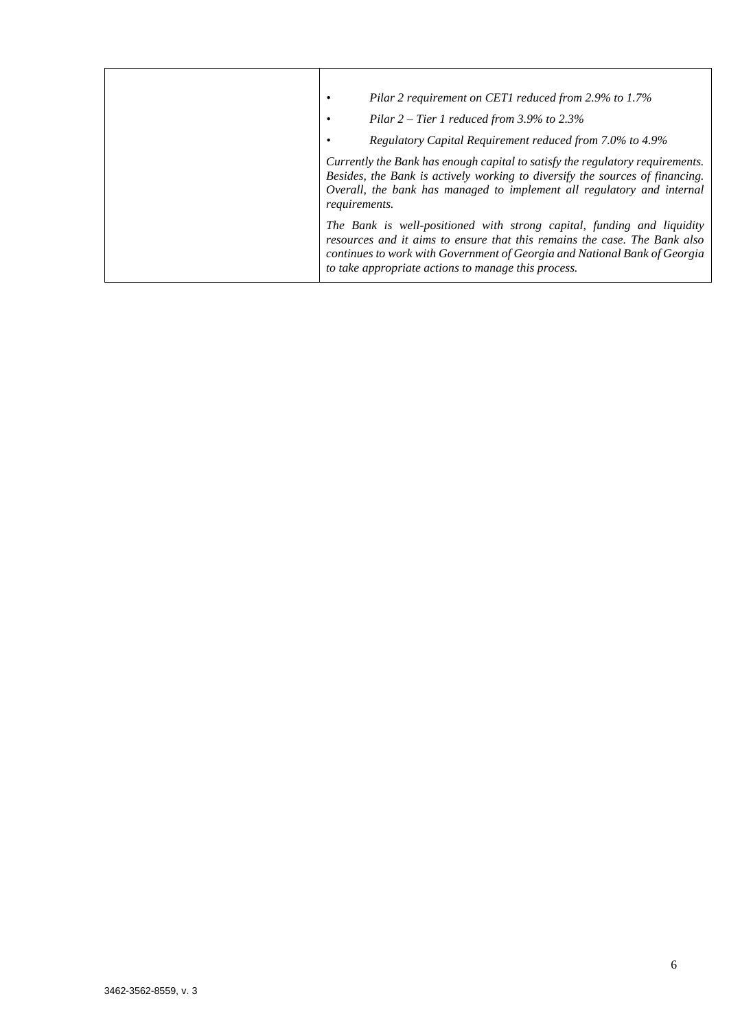|  | Pilar 2 requirement on CET1 reduced from 2.9% to 1.7%                                                                                                                                                                                                                                   |
|--|-----------------------------------------------------------------------------------------------------------------------------------------------------------------------------------------------------------------------------------------------------------------------------------------|
|  | Pilar $2$ – Tier 1 reduced from 3.9% to 2.3%                                                                                                                                                                                                                                            |
|  | Regulatory Capital Requirement reduced from 7.0% to 4.9%                                                                                                                                                                                                                                |
|  | Currently the Bank has enough capital to satisfy the regulatory requirements.<br>Besides, the Bank is actively working to diversify the sources of financing.<br>Overall, the bank has managed to implement all regulatory and internal<br><i>requirements.</i>                         |
|  | The Bank is well-positioned with strong capital, funding and liquidity<br>resources and it aims to ensure that this remains the case. The Bank also<br>continues to work with Government of Georgia and National Bank of Georgia<br>to take appropriate actions to manage this process. |
|  |                                                                                                                                                                                                                                                                                         |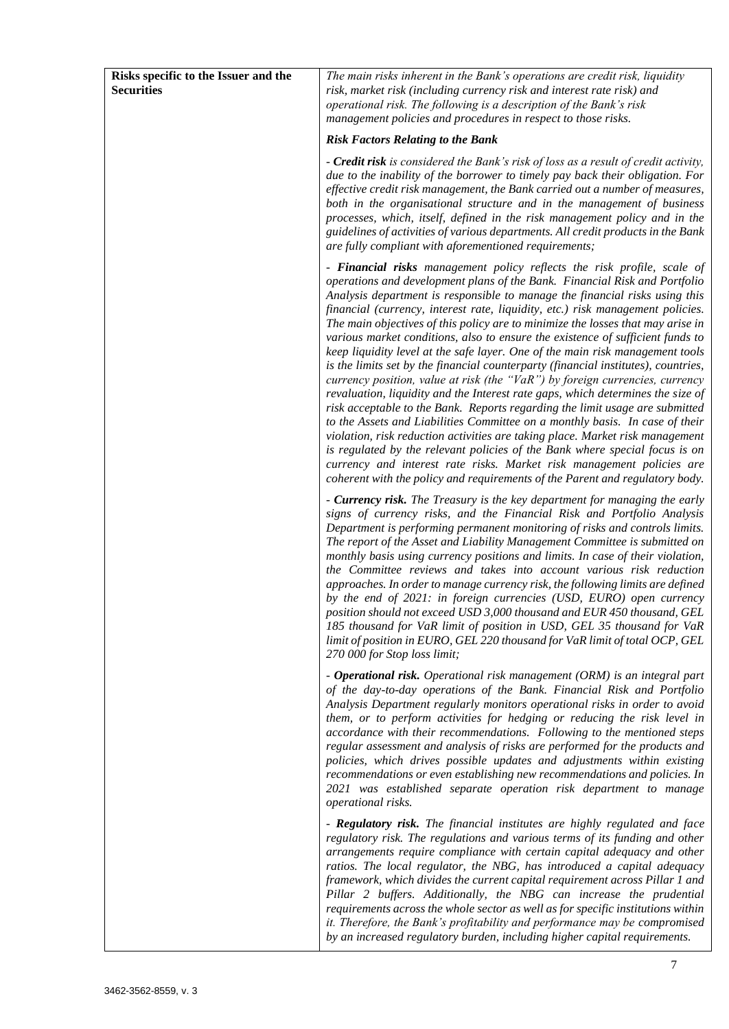| Risks specific to the Issuer and the<br><b>Securities</b> | The main risks inherent in the Bank's operations are credit risk, liquidity<br>risk, market risk (including currency risk and interest rate risk) and<br>operational risk. The following is a description of the Bank's risk<br>management policies and procedures in respect to those risks.                                                                                                                                                                                                                                                                                                                                                                                                                                                                                                                                                                                                                                                                                                                                                                                                                                                                                                                                                                                                                                  |
|-----------------------------------------------------------|--------------------------------------------------------------------------------------------------------------------------------------------------------------------------------------------------------------------------------------------------------------------------------------------------------------------------------------------------------------------------------------------------------------------------------------------------------------------------------------------------------------------------------------------------------------------------------------------------------------------------------------------------------------------------------------------------------------------------------------------------------------------------------------------------------------------------------------------------------------------------------------------------------------------------------------------------------------------------------------------------------------------------------------------------------------------------------------------------------------------------------------------------------------------------------------------------------------------------------------------------------------------------------------------------------------------------------|
|                                                           | <b>Risk Factors Relating to the Bank</b>                                                                                                                                                                                                                                                                                                                                                                                                                                                                                                                                                                                                                                                                                                                                                                                                                                                                                                                                                                                                                                                                                                                                                                                                                                                                                       |
|                                                           | - Credit risk is considered the Bank's risk of loss as a result of credit activity,<br>due to the inability of the borrower to timely pay back their obligation. For<br>effective credit risk management, the Bank carried out a number of measures,<br>both in the organisational structure and in the management of business<br>processes, which, itself, defined in the risk management policy and in the<br>guidelines of activities of various departments. All credit products in the Bank<br>are fully compliant with aforementioned requirements;                                                                                                                                                                                                                                                                                                                                                                                                                                                                                                                                                                                                                                                                                                                                                                      |
|                                                           | - Financial risks management policy reflects the risk profile, scale of<br>operations and development plans of the Bank. Financial Risk and Portfolio<br>Analysis department is responsible to manage the financial risks using this<br>financial (currency, interest rate, liquidity, etc.) risk management policies.<br>The main objectives of this policy are to minimize the losses that may arise in<br>various market conditions, also to ensure the existence of sufficient funds to<br>keep liquidity level at the safe layer. One of the main risk management tools<br>is the limits set by the financial counterparty (financial institutes), countries,<br>currency position, value at risk (the "VaR") by foreign currencies, currency<br>revaluation, liquidity and the Interest rate gaps, which determines the size of<br>risk acceptable to the Bank. Reports regarding the limit usage are submitted<br>to the Assets and Liabilities Committee on a monthly basis. In case of their<br>violation, risk reduction activities are taking place. Market risk management<br>is regulated by the relevant policies of the Bank where special focus is on<br>currency and interest rate risks. Market risk management policies are<br>coherent with the policy and requirements of the Parent and regulatory body. |
|                                                           | - <b>Currency risk.</b> The Treasury is the key department for managing the early<br>signs of currency risks, and the Financial Risk and Portfolio Analysis<br>Department is performing permanent monitoring of risks and controls limits.<br>The report of the Asset and Liability Management Committee is submitted on<br>monthly basis using currency positions and limits. In case of their violation,<br>the Committee reviews and takes into account various risk reduction<br>approaches. In order to manage currency risk, the following limits are defined<br>by the end of 2021: in foreign currencies (USD, EURO) open currency<br>position should not exceed USD 3,000 thousand and EUR 450 thousand. GEL<br>185 thousand for VaR limit of position in USD, GEL 35 thousand for VaR<br>limit of position in EURO, GEL 220 thousand for VaR limit of total OCP, GEL<br>270 000 for Stop loss limit;                                                                                                                                                                                                                                                                                                                                                                                                                 |
|                                                           | - Operational risk. Operational risk management (ORM) is an integral part<br>of the day-to-day operations of the Bank. Financial Risk and Portfolio<br>Analysis Department regularly monitors operational risks in order to avoid<br>them, or to perform activities for hedging or reducing the risk level in<br>accordance with their recommendations. Following to the mentioned steps<br>regular assessment and analysis of risks are performed for the products and<br>policies, which drives possible updates and adjustments within existing<br>recommendations or even establishing new recommendations and policies. In<br>2021 was established separate operation risk department to manage<br>operational risks.                                                                                                                                                                                                                                                                                                                                                                                                                                                                                                                                                                                                     |
|                                                           | - Regulatory risk. The financial institutes are highly regulated and face<br>regulatory risk. The regulations and various terms of its funding and other<br>arrangements require compliance with certain capital adequacy and other<br>ratios. The local regulator, the NBG, has introduced a capital adequacy<br>framework, which divides the current capital requirement across Pillar 1 and<br>Pillar 2 buffers. Additionally, the NBG can increase the prudential<br>requirements across the whole sector as well as for specific institutions within<br>it. Therefore, the Bank's profitability and performance may be compromised<br>by an increased regulatory burden, including higher capital requirements.                                                                                                                                                                                                                                                                                                                                                                                                                                                                                                                                                                                                           |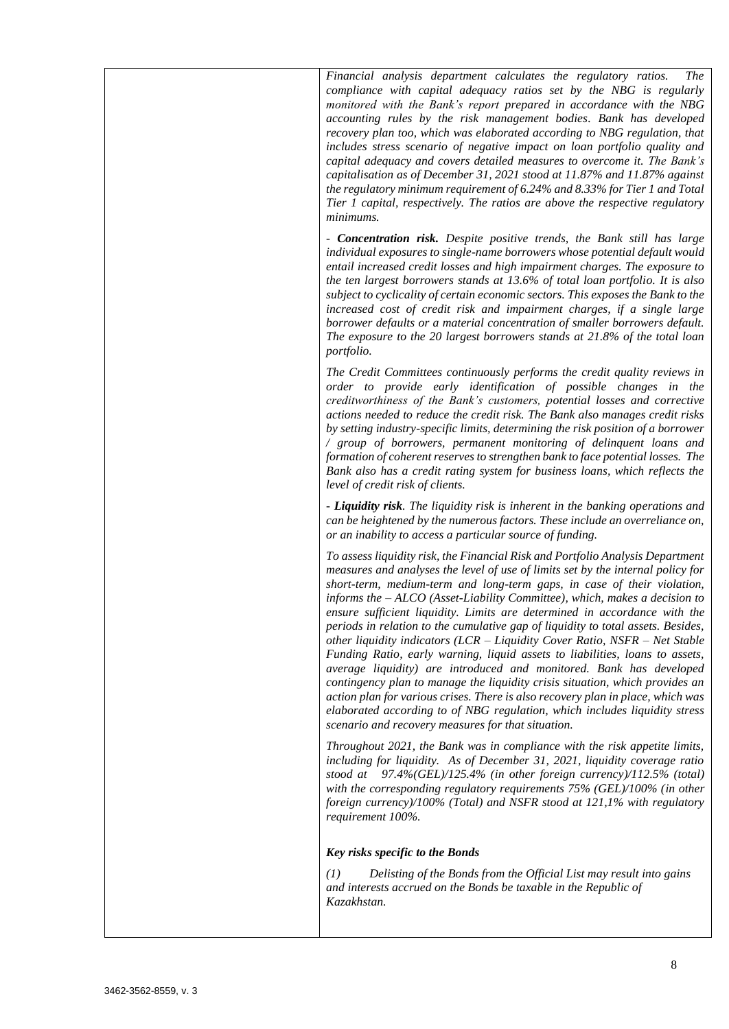*Financial analysis department calculates the regulatory ratios. The compliance with capital adequacy ratios set by the NBG is regularly monitored with the Bank's report prepared in accordance with the NBG accounting rules by the risk management bodies. Bank has developed recovery plan too, which was elaborated according to NBG regulation, that includes stress scenario of negative impact on loan portfolio quality and capital adequacy and covers detailed measures to overcome it. The Bank's capitalisation as of December 31, 2021 stood at 11.87% and 11.87% against the regulatory minimum requirement of 6.24% and 8.33% for Tier 1 and Total Tier 1 capital, respectively. The ratios are above the respective regulatory minimums.* 

*- Concentration risk. Despite positive trends, the Bank still has large individual exposures to single-name borrowers whose potential default would entail increased credit losses and high impairment charges. The exposure to the ten largest borrowers stands at 13.6% of total loan portfolio. It is also subject to cyclicality of certain economic sectors. This exposes the Bank to the increased cost of credit risk and impairment charges, if a single large borrower defaults or a material concentration of smaller borrowers default. The exposure to the 20 largest borrowers stands at 21.8% of the total loan portfolio.*

*The Credit Committees continuously performs the credit quality reviews in order to provide early identification of possible changes in the creditworthiness of the Bank's customers, potential losses and corrective actions needed to reduce the credit risk. The Bank also manages credit risks by setting industry-specific limits, determining the risk position of a borrower / group of borrowers, permanent monitoring of delinquent loans and formation of coherent reserves to strengthen bank to face potential losses. The Bank also has a credit rating system for business loans, which reflects the level of credit risk of clients.*

*- Liquidity risk. The liquidity risk is inherent in the banking operations and can be heightened by the numerous factors. These include an overreliance on, or an inability to access a particular source of funding.*

*To assess liquidity risk, the Financial Risk and Portfolio Analysis Department measures and analyses the level of use of limits set by the internal policy for short-term, medium-term and long-term gaps, in case of their violation, informs the – ALCO (Asset-Liability Committee), which, makes a decision to ensure sufficient liquidity. Limits are determined in accordance with the periods in relation to the cumulative gap of liquidity to total assets. Besides, other liquidity indicators (LCR – Liquidity Cover Ratio, NSFR – Net Stable Funding Ratio, early warning, liquid assets to liabilities, loans to assets, average liquidity) are introduced and monitored. Bank has developed contingency plan to manage the liquidity crisis situation, which provides an action plan for various crises. There is also recovery plan in place, which was elaborated according to of NBG regulation, which includes liquidity stress scenario and recovery measures for that situation.* 

*Throughout 2021, the Bank was in compliance with the risk appetite limits, including for liquidity. As of December 31, 2021, liquidity coverage ratio stood at 97.4%(GEL)/125.4% (in other foreign currency)/112.5% (total) with the corresponding regulatory requirements 75% (GEL)/100% (in other foreign currency)/100% (Total) and NSFR stood at 121,1% with regulatory requirement 100%.* 

#### *Key risks specific to the Bonds*

*(1) Delisting of the Bonds from the Official List may result into gains and interests accrued on the Bonds be taxable in the Republic of Kazakhstan.*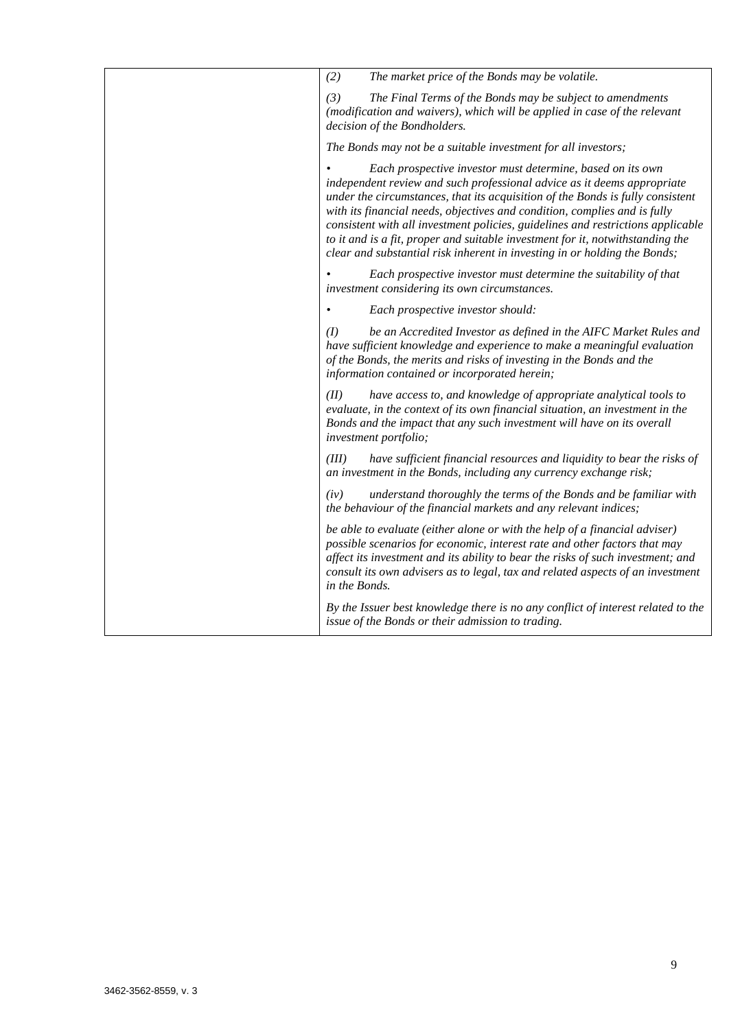| (2)<br>The market price of the Bonds may be volatile.                                                                                                                                                                                                                                                                                                                                                                                                                                                                                                  |
|--------------------------------------------------------------------------------------------------------------------------------------------------------------------------------------------------------------------------------------------------------------------------------------------------------------------------------------------------------------------------------------------------------------------------------------------------------------------------------------------------------------------------------------------------------|
| The Final Terms of the Bonds may be subject to amendments<br>(3)<br>(modification and waivers), which will be applied in case of the relevant<br>decision of the Bondholders.                                                                                                                                                                                                                                                                                                                                                                          |
| The Bonds may not be a suitable investment for all investors;                                                                                                                                                                                                                                                                                                                                                                                                                                                                                          |
| Each prospective investor must determine, based on its own<br>independent review and such professional advice as it deems appropriate<br>under the circumstances, that its acquisition of the Bonds is fully consistent<br>with its financial needs, objectives and condition, complies and is fully<br>consistent with all investment policies, guidelines and restrictions applicable<br>to it and is a fit, proper and suitable investment for it, notwithstanding the<br>clear and substantial risk inherent in investing in or holding the Bonds; |
| Each prospective investor must determine the suitability of that<br>investment considering its own circumstances.                                                                                                                                                                                                                                                                                                                                                                                                                                      |
| Each prospective investor should:                                                                                                                                                                                                                                                                                                                                                                                                                                                                                                                      |
| be an Accredited Investor as defined in the AIFC Market Rules and<br>(I)<br>have sufficient knowledge and experience to make a meaningful evaluation<br>of the Bonds, the merits and risks of investing in the Bonds and the<br>information contained or incorporated herein;                                                                                                                                                                                                                                                                          |
| have access to, and knowledge of appropriate analytical tools to<br>(II)<br>evaluate, in the context of its own financial situation, an investment in the<br>Bonds and the impact that any such investment will have on its overall<br>investment portfolio;                                                                                                                                                                                                                                                                                           |
| (III)<br>have sufficient financial resources and liquidity to bear the risks of<br>an investment in the Bonds, including any currency exchange risk;                                                                                                                                                                                                                                                                                                                                                                                                   |
| understand thoroughly the terms of the Bonds and be familiar with<br>(iv)<br>the behaviour of the financial markets and any relevant indices;                                                                                                                                                                                                                                                                                                                                                                                                          |
| be able to evaluate (either alone or with the help of a financial adviser)<br>possible scenarios for economic, interest rate and other factors that may<br>affect its investment and its ability to bear the risks of such investment; and<br>consult its own advisers as to legal, tax and related aspects of an investment<br>in the Bonds.                                                                                                                                                                                                          |
| By the Issuer best knowledge there is no any conflict of interest related to the<br>issue of the Bonds or their admission to trading.                                                                                                                                                                                                                                                                                                                                                                                                                  |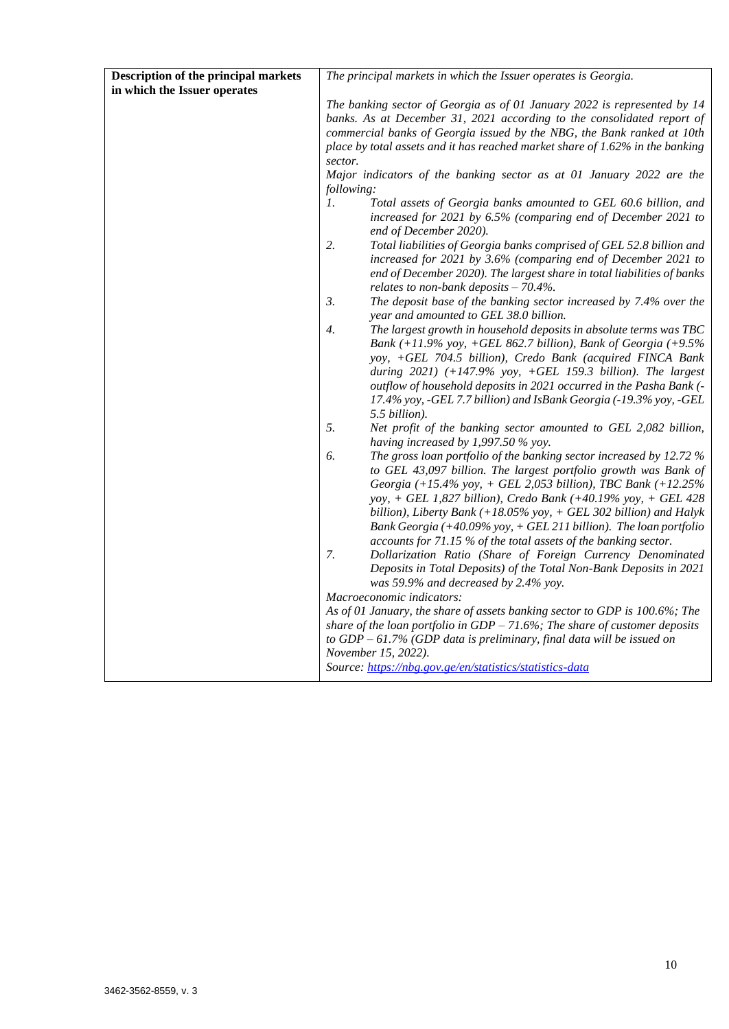| Description of the principal markets | The principal markets in which the Issuer operates is Georgia.                                                                                                                                                                                                                                                                                                                                                                                                                                                                                                                                                                                                                    |
|--------------------------------------|-----------------------------------------------------------------------------------------------------------------------------------------------------------------------------------------------------------------------------------------------------------------------------------------------------------------------------------------------------------------------------------------------------------------------------------------------------------------------------------------------------------------------------------------------------------------------------------------------------------------------------------------------------------------------------------|
| in which the Issuer operates         |                                                                                                                                                                                                                                                                                                                                                                                                                                                                                                                                                                                                                                                                                   |
|                                      | The banking sector of Georgia as of 01 January 2022 is represented by 14<br>banks. As at December 31, 2021 according to the consolidated report of<br>commercial banks of Georgia issued by the NBG, the Bank ranked at 10th<br>place by total assets and it has reached market share of $1.62\%$ in the banking<br>sector.                                                                                                                                                                                                                                                                                                                                                       |
|                                      | Major indicators of the banking sector as at 01 January 2022 are the<br>following:                                                                                                                                                                                                                                                                                                                                                                                                                                                                                                                                                                                                |
|                                      | 1.<br>Total assets of Georgia banks amounted to GEL 60.6 billion, and<br>increased for 2021 by 6.5% (comparing end of December 2021 to<br>end of December 2020).                                                                                                                                                                                                                                                                                                                                                                                                                                                                                                                  |
|                                      | 2.<br>Total liabilities of Georgia banks comprised of GEL 52.8 billion and<br>increased for 2021 by 3.6% (comparing end of December 2021 to<br>end of December 2020). The largest share in total liabilities of banks<br>relates to non-bank deposits $-70.4\%$ .                                                                                                                                                                                                                                                                                                                                                                                                                 |
|                                      | 3.<br>The deposit base of the banking sector increased by 7.4% over the<br>year and amounted to GEL 38.0 billion.                                                                                                                                                                                                                                                                                                                                                                                                                                                                                                                                                                 |
|                                      | $\overline{4}$ .<br>The largest growth in household deposits in absolute terms was TBC<br>Bank $(+11.9\%$ yoy, $+GEL$ 862.7 billion), Bank of Georgia $(+9.5\%$<br>yoy, +GEL 704.5 billion), Credo Bank (acquired FINCA Bank<br>during $2021$ ) (+147.9% yoy, +GEL 159.3 billion). The largest<br>outflow of household deposits in 2021 occurred in the Pasha Bank (-<br>17.4% yoy, -GEL 7.7 billion) and IsBank Georgia (-19.3% yoy, -GEL<br>5.5 billion).                                                                                                                                                                                                                       |
|                                      | 5.<br>Net profit of the banking sector amounted to GEL 2,082 billion,<br>having increased by $1,997.50\%$ yoy.                                                                                                                                                                                                                                                                                                                                                                                                                                                                                                                                                                    |
|                                      | The gross loan portfolio of the banking sector increased by 12.72 %<br>6.<br>to GEL 43,097 billion. The largest portfolio growth was Bank of<br>Georgia (+15.4% yoy, + GEL 2,053 billion), TBC Bank (+12.25%<br>yoy, + GEL 1,827 billion), Credo Bank (+40.19% yoy, + GEL 428<br>billion), Liberty Bank $(+18.05\%$ yoy, $+$ GEL 302 billion) and Halyk<br>Bank Georgia (+40.09% yoy, + GEL 211 billion). The loan portfolio<br>accounts for 71.15 % of the total assets of the banking sector.<br>7.<br>Dollarization Ratio (Share of Foreign Currency Denominated<br>Deposits in Total Deposits) of the Total Non-Bank Deposits in 2021<br>was 59.9% and decreased by 2.4% yoy. |
|                                      | Macroeconomic indicators:                                                                                                                                                                                                                                                                                                                                                                                                                                                                                                                                                                                                                                                         |
|                                      | As of 01 January, the share of assets banking sector to GDP is 100.6%; The<br>share of the loan portfolio in $GDP - 71.6\%$ ; The share of customer deposits<br>to $GDP - 61.7\%$ ( $GDP$ data is preliminary, final data will be issued on<br>November 15, 2022).                                                                                                                                                                                                                                                                                                                                                                                                                |
|                                      | Source: https://nbg.gov.ge/en/statistics/statistics-data                                                                                                                                                                                                                                                                                                                                                                                                                                                                                                                                                                                                                          |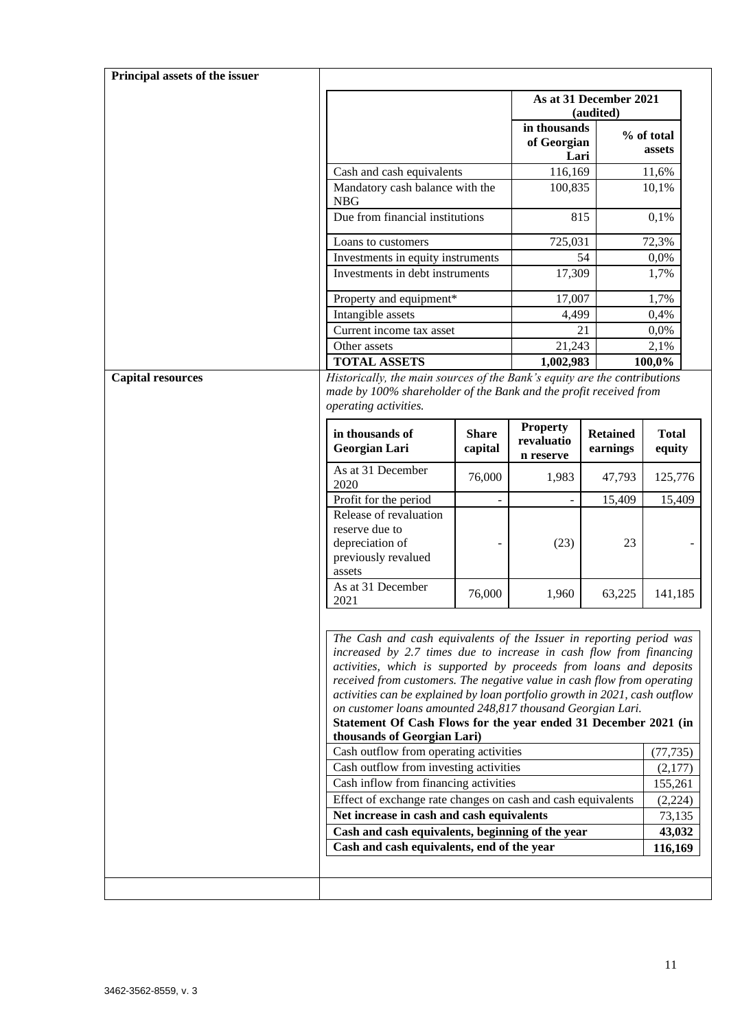| Principal assets of the issuer |                                                                                                                                                                                                                                                                                                                                                                                                                                                                                                                                                                                                                                                                                                                                                                                                                                        |              |                                     |                                     |                                                                |
|--------------------------------|----------------------------------------------------------------------------------------------------------------------------------------------------------------------------------------------------------------------------------------------------------------------------------------------------------------------------------------------------------------------------------------------------------------------------------------------------------------------------------------------------------------------------------------------------------------------------------------------------------------------------------------------------------------------------------------------------------------------------------------------------------------------------------------------------------------------------------------|--------------|-------------------------------------|-------------------------------------|----------------------------------------------------------------|
|                                |                                                                                                                                                                                                                                                                                                                                                                                                                                                                                                                                                                                                                                                                                                                                                                                                                                        |              |                                     | As at 31 December 2021<br>(audited) |                                                                |
|                                |                                                                                                                                                                                                                                                                                                                                                                                                                                                                                                                                                                                                                                                                                                                                                                                                                                        |              | in thousands<br>of Georgian<br>Lari |                                     | % of total<br>assets                                           |
|                                | Cash and cash equivalents                                                                                                                                                                                                                                                                                                                                                                                                                                                                                                                                                                                                                                                                                                                                                                                                              |              | 116,169                             |                                     | 11,6%                                                          |
|                                | Mandatory cash balance with the<br><b>NBG</b>                                                                                                                                                                                                                                                                                                                                                                                                                                                                                                                                                                                                                                                                                                                                                                                          |              | 100,835                             |                                     | 10,1%                                                          |
|                                | Due from financial institutions                                                                                                                                                                                                                                                                                                                                                                                                                                                                                                                                                                                                                                                                                                                                                                                                        |              |                                     | 815                                 | 0,1%                                                           |
|                                | Loans to customers                                                                                                                                                                                                                                                                                                                                                                                                                                                                                                                                                                                                                                                                                                                                                                                                                     |              | 725,031                             |                                     | 72,3%                                                          |
|                                | Investments in equity instruments                                                                                                                                                                                                                                                                                                                                                                                                                                                                                                                                                                                                                                                                                                                                                                                                      |              |                                     | 54                                  | 0,0%                                                           |
|                                | Investments in debt instruments                                                                                                                                                                                                                                                                                                                                                                                                                                                                                                                                                                                                                                                                                                                                                                                                        |              | 17,309                              |                                     | 1,7%                                                           |
|                                | Property and equipment*                                                                                                                                                                                                                                                                                                                                                                                                                                                                                                                                                                                                                                                                                                                                                                                                                |              | 17,007                              |                                     | 1,7%                                                           |
|                                | Intangible assets                                                                                                                                                                                                                                                                                                                                                                                                                                                                                                                                                                                                                                                                                                                                                                                                                      |              | 4,499                               |                                     | 0,4%                                                           |
|                                | Current income tax asset                                                                                                                                                                                                                                                                                                                                                                                                                                                                                                                                                                                                                                                                                                                                                                                                               |              |                                     | 21                                  | 0,0%                                                           |
|                                | Other assets                                                                                                                                                                                                                                                                                                                                                                                                                                                                                                                                                                                                                                                                                                                                                                                                                           |              | 21,243                              |                                     | 2,1%                                                           |
| <b>Capital resources</b>       | <b>TOTAL ASSETS</b><br>Historically, the main sources of the Bank's equity are the contributions                                                                                                                                                                                                                                                                                                                                                                                                                                                                                                                                                                                                                                                                                                                                       |              | 1,002,983                           |                                     | 100,0%                                                         |
|                                | made by 100% shareholder of the Bank and the profit received from<br>operating activities.<br>in thousands of                                                                                                                                                                                                                                                                                                                                                                                                                                                                                                                                                                                                                                                                                                                          | <b>Share</b> | <b>Property</b>                     | <b>Retained</b>                     | <b>Total</b>                                                   |
|                                | Georgian Lari                                                                                                                                                                                                                                                                                                                                                                                                                                                                                                                                                                                                                                                                                                                                                                                                                          | capital      | revaluatio<br>n reserve             | earnings                            | equity                                                         |
|                                | As at 31 December<br>2020                                                                                                                                                                                                                                                                                                                                                                                                                                                                                                                                                                                                                                                                                                                                                                                                              | 76,000       | 1,983                               | 47,793                              | 125,776                                                        |
|                                | Profit for the period                                                                                                                                                                                                                                                                                                                                                                                                                                                                                                                                                                                                                                                                                                                                                                                                                  |              |                                     | 15,409                              | 15,409                                                         |
|                                | Release of revaluation<br>reserve due to<br>depreciation of<br>previously revalued<br>assets                                                                                                                                                                                                                                                                                                                                                                                                                                                                                                                                                                                                                                                                                                                                           |              | (23)                                | 23                                  |                                                                |
|                                | As at 31 December<br>2021                                                                                                                                                                                                                                                                                                                                                                                                                                                                                                                                                                                                                                                                                                                                                                                                              | 76,000       | 1,960                               | 63,225                              | 141,185                                                        |
|                                | The Cash and cash equivalents of the Issuer in reporting period was<br>increased by 2.7 times due to increase in cash flow from financing<br>activities, which is supported by proceeds from loans and deposits<br>received from customers. The negative value in cash flow from operating<br>activities can be explained by loan portfolio growth in 2021, cash outflow<br>on customer loans amounted 248,817 thousand Georgian Lari.<br>Statement Of Cash Flows for the year ended 31 December 2021 (in<br>thousands of Georgian Lari)<br>Cash outflow from operating activities<br>Cash outflow from investing activities<br>Cash inflow from financing activities<br>Effect of exchange rate changes on cash and cash equivalents<br>Net increase in cash and cash equivalents<br>Cash and cash equivalents, beginning of the year |              |                                     |                                     | (77, 735)<br>(2,177)<br>155,261<br>(2,224)<br>73,135<br>43,032 |
|                                | Cash and cash equivalents, end of the year                                                                                                                                                                                                                                                                                                                                                                                                                                                                                                                                                                                                                                                                                                                                                                                             |              |                                     |                                     | 116,169                                                        |
|                                |                                                                                                                                                                                                                                                                                                                                                                                                                                                                                                                                                                                                                                                                                                                                                                                                                                        |              |                                     |                                     |                                                                |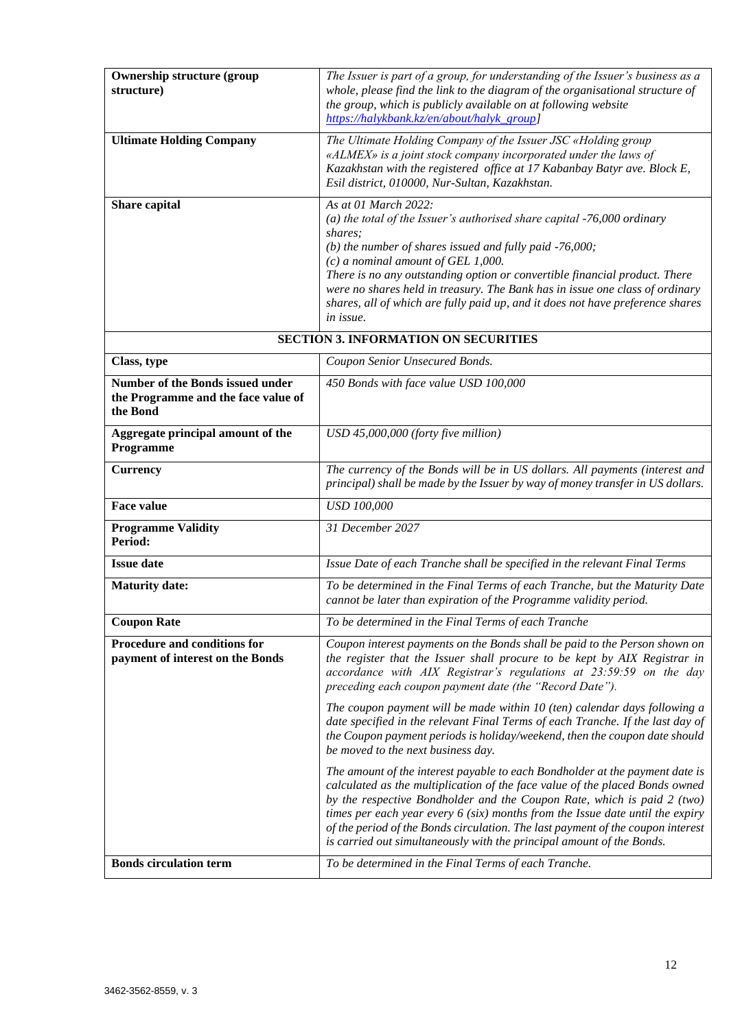| <b>Ownership structure (group</b><br>structure)                                            | The Issuer is part of a group, for understanding of the Issuer's business as a<br>whole, please find the link to the diagram of the organisational structure of<br>the group, which is publicly available on at following website<br>https://halykbank.kz/en/about/halyk_group]                                                                                                                                                                                                        |  |  |
|--------------------------------------------------------------------------------------------|----------------------------------------------------------------------------------------------------------------------------------------------------------------------------------------------------------------------------------------------------------------------------------------------------------------------------------------------------------------------------------------------------------------------------------------------------------------------------------------|--|--|
| <b>Ultimate Holding Company</b>                                                            | The Ultimate Holding Company of the Issuer JSC «Holding group<br>«ALMEX» is a joint stock company incorporated under the laws of<br>Kazakhstan with the registered office at 17 Kabanbay Batyr ave. Block E,<br>Esil district, 010000, Nur-Sultan, Kazakhstan.                                                                                                                                                                                                                         |  |  |
| Share capital                                                                              | As at 01 March 2022:<br>(a) the total of the Issuer's authorised share capital $-76,000$ ordinary<br>shares;<br>(b) the number of shares issued and fully paid $-76,000$ ;<br>$(c)$ a nominal amount of GEL 1,000.<br>There is no any outstanding option or convertible financial product. There<br>were no shares held in treasury. The Bank has in issue one class of ordinary<br>shares, all of which are fully paid up, and it does not have preference shares<br>in issue.        |  |  |
|                                                                                            | <b>SECTION 3. INFORMATION ON SECURITIES</b>                                                                                                                                                                                                                                                                                                                                                                                                                                            |  |  |
| Class, type                                                                                | Coupon Senior Unsecured Bonds.                                                                                                                                                                                                                                                                                                                                                                                                                                                         |  |  |
| <b>Number of the Bonds issued under</b><br>the Programme and the face value of<br>the Bond | 450 Bonds with face value USD 100,000                                                                                                                                                                                                                                                                                                                                                                                                                                                  |  |  |
| Aggregate principal amount of the<br>Programme                                             | USD 45,000,000 (forty five million)                                                                                                                                                                                                                                                                                                                                                                                                                                                    |  |  |
| <b>Currency</b>                                                                            | The currency of the Bonds will be in US dollars. All payments (interest and<br>principal) shall be made by the Issuer by way of money transfer in US dollars.                                                                                                                                                                                                                                                                                                                          |  |  |
| <b>Face value</b>                                                                          | <b>USD 100,000</b>                                                                                                                                                                                                                                                                                                                                                                                                                                                                     |  |  |
| <b>Programme Validity</b><br>Period:                                                       | 31 December 2027                                                                                                                                                                                                                                                                                                                                                                                                                                                                       |  |  |
| <b>Issue date</b>                                                                          | Issue Date of each Tranche shall be specified in the relevant Final Terms                                                                                                                                                                                                                                                                                                                                                                                                              |  |  |
| <b>Maturity date:</b>                                                                      | To be determined in the Final Terms of each Tranche, but the Maturity Date<br>cannot be later than expiration of the Programme validity period.                                                                                                                                                                                                                                                                                                                                        |  |  |
| <b>Coupon Rate</b>                                                                         | To be determined in the Final Terms of each Tranche                                                                                                                                                                                                                                                                                                                                                                                                                                    |  |  |
| Procedure and conditions for<br>payment of interest on the Bonds                           | Coupon interest payments on the Bonds shall be paid to the Person shown on<br>the register that the Issuer shall procure to be kept by AIX Registrar in<br>accordance with AIX Registrar's regulations at 23:59:59 on the day<br>preceding each coupon payment date (the "Record Date").                                                                                                                                                                                               |  |  |
|                                                                                            | The coupon payment will be made within 10 (ten) calendar days following a<br>date specified in the relevant Final Terms of each Tranche. If the last day of<br>the Coupon payment periods is holiday/weekend, then the coupon date should<br>be moved to the next business day.                                                                                                                                                                                                        |  |  |
|                                                                                            | The amount of the interest payable to each Bondholder at the payment date is<br>calculated as the multiplication of the face value of the placed Bonds owned<br>by the respective Bondholder and the Coupon Rate, which is paid 2 (two)<br>times per each year every $6$ (six) months from the Issue date until the expiry<br>of the period of the Bonds circulation. The last payment of the coupon interest<br>is carried out simultaneously with the principal amount of the Bonds. |  |  |
| <b>Bonds circulation term</b>                                                              | To be determined in the Final Terms of each Tranche.                                                                                                                                                                                                                                                                                                                                                                                                                                   |  |  |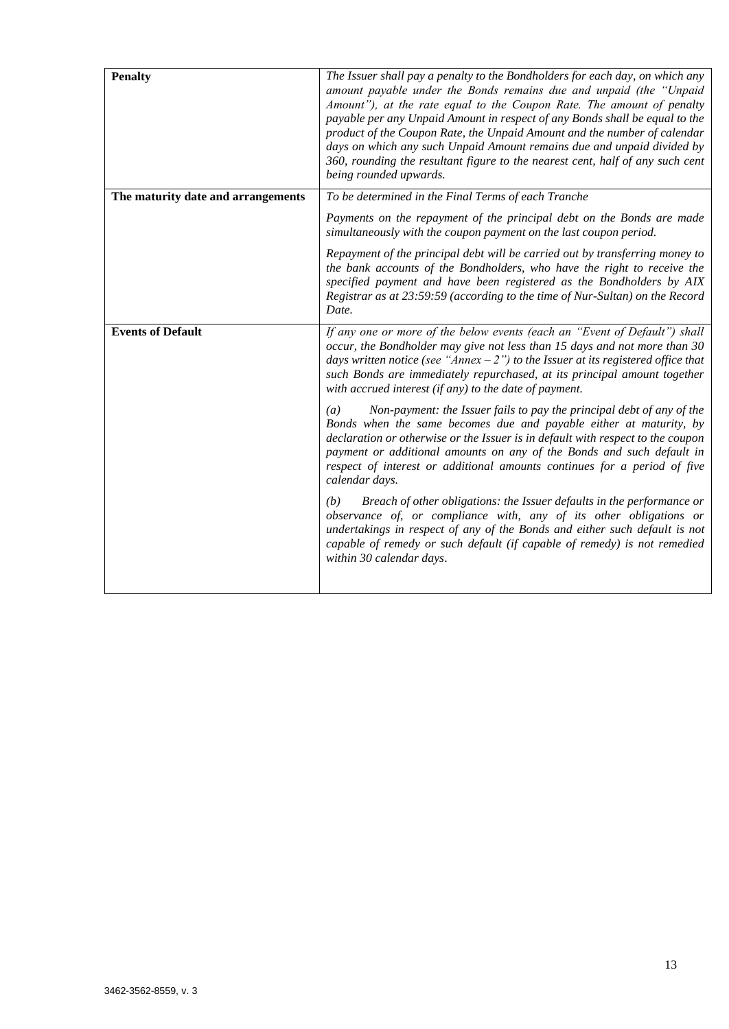| <b>Penalty</b>                     | The Issuer shall pay a penalty to the Bondholders for each day, on which any<br>amount payable under the Bonds remains due and unpaid (the "Unpaid<br>Amount"), at the rate equal to the Coupon Rate. The amount of penalty<br>payable per any Unpaid Amount in respect of any Bonds shall be equal to the<br>product of the Coupon Rate, the Unpaid Amount and the number of calendar<br>days on which any such Unpaid Amount remains due and unpaid divided by<br>360, rounding the resultant figure to the nearest cent, half of any such cent<br>being rounded upwards. |
|------------------------------------|-----------------------------------------------------------------------------------------------------------------------------------------------------------------------------------------------------------------------------------------------------------------------------------------------------------------------------------------------------------------------------------------------------------------------------------------------------------------------------------------------------------------------------------------------------------------------------|
| The maturity date and arrangements | To be determined in the Final Terms of each Tranche                                                                                                                                                                                                                                                                                                                                                                                                                                                                                                                         |
|                                    | Payments on the repayment of the principal debt on the Bonds are made<br>simultaneously with the coupon payment on the last coupon period.                                                                                                                                                                                                                                                                                                                                                                                                                                  |
|                                    | Repayment of the principal debt will be carried out by transferring money to<br>the bank accounts of the Bondholders, who have the right to receive the<br>specified payment and have been registered as the Bondholders by AIX<br>Registrar as at 23:59:59 (according to the time of Nur-Sultan) on the Record<br>Date.                                                                                                                                                                                                                                                    |
| <b>Events of Default</b>           | If any one or more of the below events (each an "Event of Default") shall<br>occur, the Bondholder may give not less than 15 days and not more than 30<br>days written notice (see "Annex $-2$ ") to the Issuer at its registered office that<br>such Bonds are immediately repurchased, at its principal amount together<br>with accrued interest (if any) to the date of payment.                                                                                                                                                                                         |
|                                    | Non-payment: the Issuer fails to pay the principal debt of any of the<br>$\left(a\right)$<br>Bonds when the same becomes due and payable either at maturity, by<br>declaration or otherwise or the Issuer is in default with respect to the coupon<br>payment or additional amounts on any of the Bonds and such default in<br>respect of interest or additional amounts continues for a period of five<br>calendar days.                                                                                                                                                   |
|                                    | Breach of other obligations: the Issuer defaults in the performance or<br>(b)<br>observance of, or compliance with, any of its other obligations or<br>undertakings in respect of any of the Bonds and either such default is not<br>capable of remedy or such default (if capable of remedy) is not remedied<br>within 30 calendar days.                                                                                                                                                                                                                                   |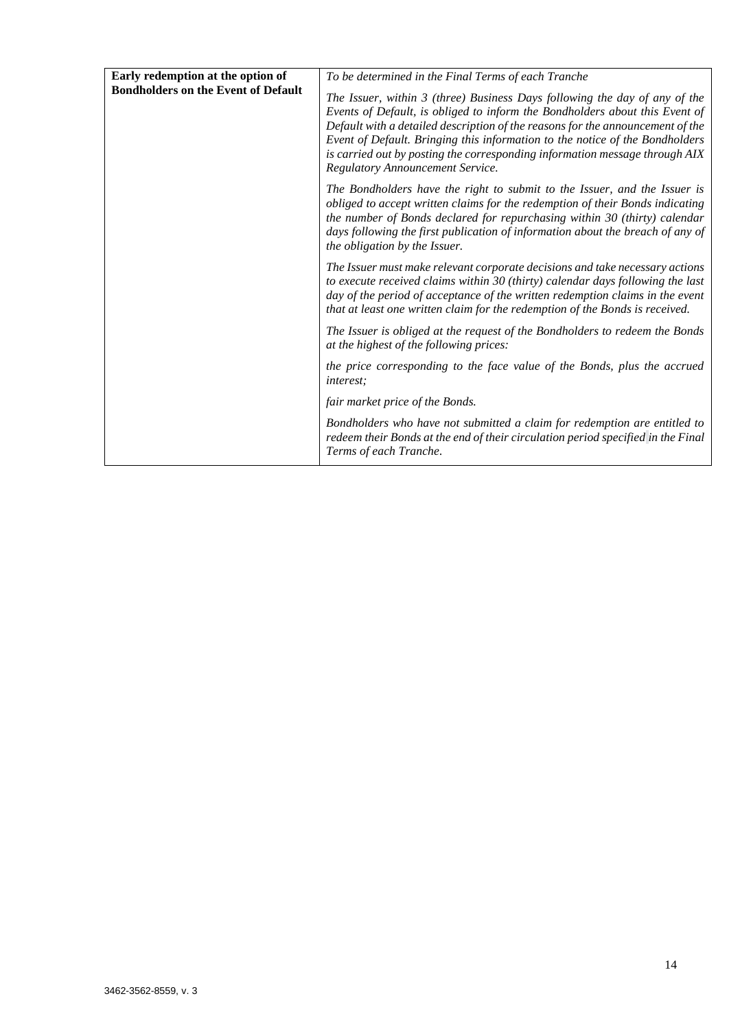| Early redemption at the option of          | To be determined in the Final Terms of each Tranche                                                                                                                                                                                                                                                                                                                                                                                            |
|--------------------------------------------|------------------------------------------------------------------------------------------------------------------------------------------------------------------------------------------------------------------------------------------------------------------------------------------------------------------------------------------------------------------------------------------------------------------------------------------------|
| <b>Bondholders on the Event of Default</b> | The Issuer, within 3 (three) Business Days following the day of any of the<br>Events of Default, is obliged to inform the Bondholders about this Event of<br>Default with a detailed description of the reasons for the announcement of the<br>Event of Default. Bringing this information to the notice of the Bondholders<br>is carried out by posting the corresponding information message through AIX<br>Regulatory Announcement Service. |
|                                            | The Bondholders have the right to submit to the Issuer, and the Issuer is<br>obliged to accept written claims for the redemption of their Bonds indicating<br>the number of Bonds declared for repurchasing within 30 (thirty) calendar<br>days following the first publication of information about the breach of any of<br>the obligation by the Issuer.                                                                                     |
|                                            | The Issuer must make relevant corporate decisions and take necessary actions<br>to execute received claims within 30 (thirty) calendar days following the last<br>day of the period of acceptance of the written redemption claims in the event<br>that at least one written claim for the redemption of the Bonds is received.                                                                                                                |
|                                            | The Issuer is obliged at the request of the Bondholders to redeem the Bonds<br>at the highest of the following prices:                                                                                                                                                                                                                                                                                                                         |
|                                            | the price corresponding to the face value of the Bonds, plus the accrued<br><i>interest:</i>                                                                                                                                                                                                                                                                                                                                                   |
|                                            | fair market price of the Bonds.                                                                                                                                                                                                                                                                                                                                                                                                                |
|                                            | Bondholders who have not submitted a claim for redemption are entitled to<br>redeem their Bonds at the end of their circulation period specified in the Final<br>Terms of each Tranche.                                                                                                                                                                                                                                                        |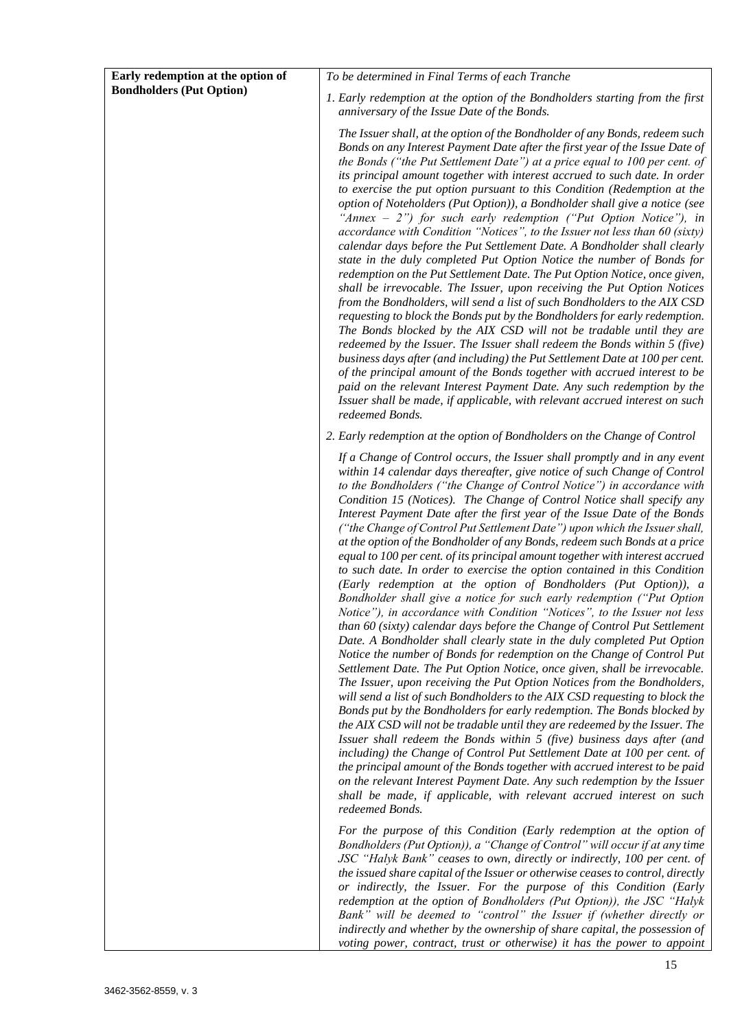| Early redemption at the option of | To be determined in Final Terms of each Tranche                                                                                                                                                                                                                                                                                                                                                                                                                                                                                                                                                                                                                                                                                                                                                                                                                                                                                                                                                                                                                                                                                                                                                                                                                                                                                                                                                                                                                                                                                                                                                                                                                                                                                                                                                                                                                                                                                                                                          |
|-----------------------------------|------------------------------------------------------------------------------------------------------------------------------------------------------------------------------------------------------------------------------------------------------------------------------------------------------------------------------------------------------------------------------------------------------------------------------------------------------------------------------------------------------------------------------------------------------------------------------------------------------------------------------------------------------------------------------------------------------------------------------------------------------------------------------------------------------------------------------------------------------------------------------------------------------------------------------------------------------------------------------------------------------------------------------------------------------------------------------------------------------------------------------------------------------------------------------------------------------------------------------------------------------------------------------------------------------------------------------------------------------------------------------------------------------------------------------------------------------------------------------------------------------------------------------------------------------------------------------------------------------------------------------------------------------------------------------------------------------------------------------------------------------------------------------------------------------------------------------------------------------------------------------------------------------------------------------------------------------------------------------------------|
| <b>Bondholders (Put Option)</b>   | 1. Early redemption at the option of the Bondholders starting from the first                                                                                                                                                                                                                                                                                                                                                                                                                                                                                                                                                                                                                                                                                                                                                                                                                                                                                                                                                                                                                                                                                                                                                                                                                                                                                                                                                                                                                                                                                                                                                                                                                                                                                                                                                                                                                                                                                                             |
|                                   | anniversary of the Issue Date of the Bonds.                                                                                                                                                                                                                                                                                                                                                                                                                                                                                                                                                                                                                                                                                                                                                                                                                                                                                                                                                                                                                                                                                                                                                                                                                                                                                                                                                                                                                                                                                                                                                                                                                                                                                                                                                                                                                                                                                                                                              |
|                                   | The Issuer shall, at the option of the Bondholder of any Bonds, redeem such<br>Bonds on any Interest Payment Date after the first year of the Issue Date of<br>the Bonds ("the Put Settlement Date") at a price equal to 100 per cent. of<br>its principal amount together with interest accrued to such date. In order<br>to exercise the put option pursuant to this Condition (Redemption at the<br>option of Noteholders (Put Option)), a Bondholder shall give a notice (see<br>"Annex $-2$ ") for such early redemption ("Put Option Notice"), in<br>accordance with Condition "Notices", to the Issuer not less than 60 (sixty)<br>calendar days before the Put Settlement Date. A Bondholder shall clearly<br>state in the duly completed Put Option Notice the number of Bonds for<br>redemption on the Put Settlement Date. The Put Option Notice, once given,<br>shall be irrevocable. The Issuer, upon receiving the Put Option Notices<br>from the Bondholders, will send a list of such Bondholders to the AIX CSD<br>requesting to block the Bonds put by the Bondholders for early redemption.<br>The Bonds blocked by the AIX CSD will not be tradable until they are<br>redeemed by the Issuer. The Issuer shall redeem the Bonds within 5 (five)<br>business days after (and including) the Put Settlement Date at 100 per cent.<br>of the principal amount of the Bonds together with accrued interest to be<br>paid on the relevant Interest Payment Date. Any such redemption by the<br>Issuer shall be made, if applicable, with relevant accrued interest on such<br>redeemed Bonds.                                                                                                                                                                                                                                                                                                                                                                             |
|                                   | 2. Early redemption at the option of Bondholders on the Change of Control                                                                                                                                                                                                                                                                                                                                                                                                                                                                                                                                                                                                                                                                                                                                                                                                                                                                                                                                                                                                                                                                                                                                                                                                                                                                                                                                                                                                                                                                                                                                                                                                                                                                                                                                                                                                                                                                                                                |
|                                   | If a Change of Control occurs, the Issuer shall promptly and in any event<br>within 14 calendar days thereafter, give notice of such Change of Control<br>to the Bondholders ("the Change of Control Notice") in accordance with<br>Condition 15 (Notices). The Change of Control Notice shall specify any<br>Interest Payment Date after the first year of the Issue Date of the Bonds<br>("the Change of Control Put Settlement Date") upon which the Issuer shall,<br>at the option of the Bondholder of any Bonds, redeem such Bonds at a price<br>equal to 100 per cent. of its principal amount together with interest accrued<br>to such date. In order to exercise the option contained in this Condition<br>(Early redemption at the option of Bondholders (Put Option)), a<br>Bondholder shall give a notice for such early redemption ("Put Option<br>Notice"), in accordance with Condition "Notices", to the Issuer not less<br>than 60 (sixty) calendar days before the Change of Control Put Settlement<br>Date. A Bondholder shall clearly state in the duly completed Put Option<br>Notice the number of Bonds for redemption on the Change of Control Put<br>Settlement Date. The Put Option Notice, once given, shall be irrevocable.<br>The Issuer, upon receiving the Put Option Notices from the Bondholders,<br>will send a list of such Bondholders to the AIX CSD requesting to block the<br>Bonds put by the Bondholders for early redemption. The Bonds blocked by<br>the AIX CSD will not be tradable until they are redeemed by the Issuer. The<br>Issuer shall redeem the Bonds within 5 (five) business days after (and<br>including) the Change of Control Put Settlement Date at 100 per cent. of<br>the principal amount of the Bonds together with accrued interest to be paid<br>on the relevant Interest Payment Date. Any such redemption by the Issuer<br>shall be made, if applicable, with relevant accrued interest on such<br>redeemed Bonds. |
|                                   | For the purpose of this Condition (Early redemption at the option of<br>Bondholders (Put Option)), a "Change of Control" will occur if at any time<br>JSC "Halyk Bank" ceases to own, directly or indirectly, 100 per cent. of<br>the issued share capital of the Issuer or otherwise ceases to control, directly<br>or indirectly, the Issuer. For the purpose of this Condition (Early<br>redemption at the option of Bondholders (Put Option)), the JSC "Halyk<br>Bank" will be deemed to "control" the Issuer if (whether directly or<br>indirectly and whether by the ownership of share capital, the possession of<br>voting power, contract, trust or otherwise) it has the power to appoint                                                                                                                                                                                                                                                                                                                                                                                                                                                                                                                                                                                                                                                                                                                                                                                                                                                                                                                                                                                                                                                                                                                                                                                                                                                                                      |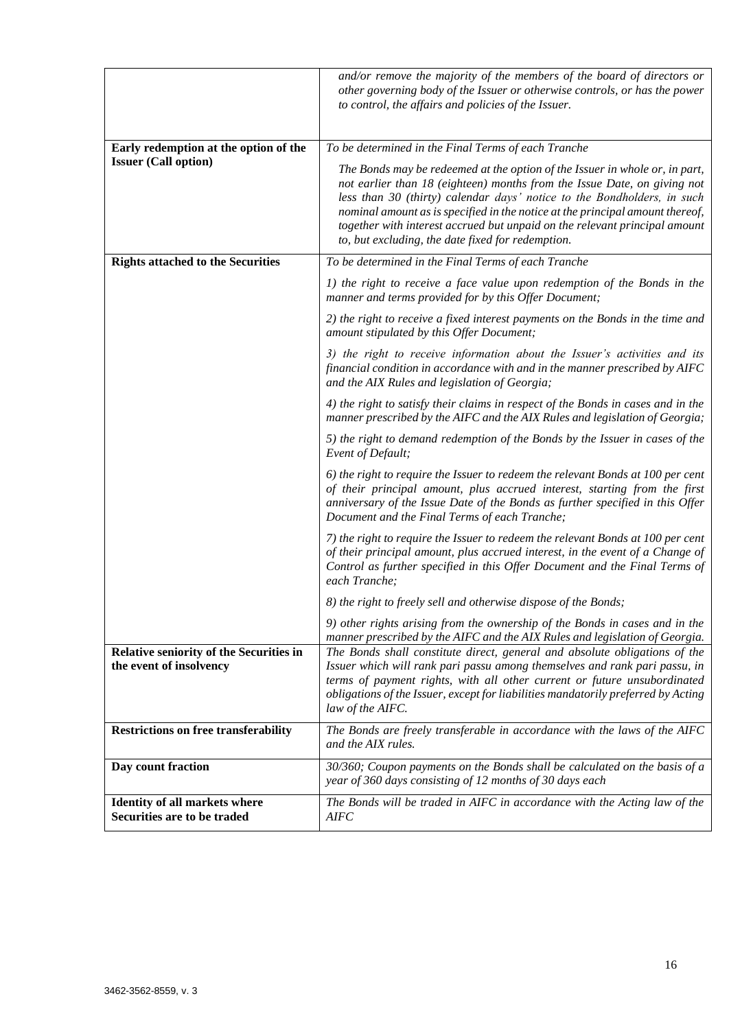|                                                                     | and/or remove the majority of the members of the board of directors or<br>other governing body of the Issuer or otherwise controls, or has the power<br>to control, the affairs and policies of the Issuer.                                                                                                                                                                                                                                            |  |
|---------------------------------------------------------------------|--------------------------------------------------------------------------------------------------------------------------------------------------------------------------------------------------------------------------------------------------------------------------------------------------------------------------------------------------------------------------------------------------------------------------------------------------------|--|
| Early redemption at the option of the                               | To be determined in the Final Terms of each Tranche                                                                                                                                                                                                                                                                                                                                                                                                    |  |
| <b>Issuer (Call option)</b>                                         | The Bonds may be redeemed at the option of the Issuer in whole or, in part,<br>not earlier than 18 (eighteen) months from the Issue Date, on giving not<br>less than 30 (thirty) calendar days' notice to the Bondholders, in such<br>nominal amount as is specified in the notice at the principal amount thereof,<br>together with interest accrued but unpaid on the relevant principal amount<br>to, but excluding, the date fixed for redemption. |  |
| <b>Rights attached to the Securities</b>                            | To be determined in the Final Terms of each Tranche                                                                                                                                                                                                                                                                                                                                                                                                    |  |
|                                                                     | 1) the right to receive a face value upon redemption of the Bonds in the<br>manner and terms provided for by this Offer Document;                                                                                                                                                                                                                                                                                                                      |  |
|                                                                     | 2) the right to receive a fixed interest payments on the Bonds in the time and<br>amount stipulated by this Offer Document;                                                                                                                                                                                                                                                                                                                            |  |
|                                                                     | 3) the right to receive information about the Issuer's activities and its<br>financial condition in accordance with and in the manner prescribed by AIFC<br>and the AIX Rules and legislation of Georgia;                                                                                                                                                                                                                                              |  |
|                                                                     | 4) the right to satisfy their claims in respect of the Bonds in cases and in the<br>manner prescribed by the AIFC and the AIX Rules and legislation of Georgia;                                                                                                                                                                                                                                                                                        |  |
|                                                                     | 5) the right to demand redemption of the Bonds by the Issuer in cases of the<br>Event of Default;                                                                                                                                                                                                                                                                                                                                                      |  |
|                                                                     | 6) the right to require the Issuer to redeem the relevant Bonds at 100 per cent<br>of their principal amount, plus accrued interest, starting from the first<br>anniversary of the Issue Date of the Bonds as further specified in this Offer<br>Document and the Final Terms of each Tranche;                                                                                                                                                         |  |
|                                                                     | 7) the right to require the Issuer to redeem the relevant Bonds at 100 per cent<br>of their principal amount, plus accrued interest, in the event of a Change of<br>Control as further specified in this Offer Document and the Final Terms of<br>each Tranche;                                                                                                                                                                                        |  |
|                                                                     | 8) the right to freely sell and otherwise dispose of the Bonds;                                                                                                                                                                                                                                                                                                                                                                                        |  |
|                                                                     | 9) other rights arising from the ownership of the Bonds in cases and in the<br>manner prescribed by the AIFC and the AIX Rules and legislation of Georgia.                                                                                                                                                                                                                                                                                             |  |
| Relative seniority of the Securities in<br>the event of insolvency  | The Bonds shall constitute direct, general and absolute obligations of the<br>Issuer which will rank pari passu among themselves and rank pari passu, in<br>terms of payment rights, with all other current or future unsubordinated<br>obligations of the Issuer, except for liabilities mandatorily preferred by Acting<br>law of the AIFC.                                                                                                          |  |
| <b>Restrictions on free transferability</b>                         | The Bonds are freely transferable in accordance with the laws of the AIFC<br>and the AIX rules.                                                                                                                                                                                                                                                                                                                                                        |  |
| Day count fraction                                                  | 30/360; Coupon payments on the Bonds shall be calculated on the basis of a<br>year of 360 days consisting of 12 months of 30 days each                                                                                                                                                                                                                                                                                                                 |  |
| <b>Identity of all markets where</b><br>Securities are to be traded | The Bonds will be traded in AIFC in accordance with the Acting law of the<br><b>AIFC</b>                                                                                                                                                                                                                                                                                                                                                               |  |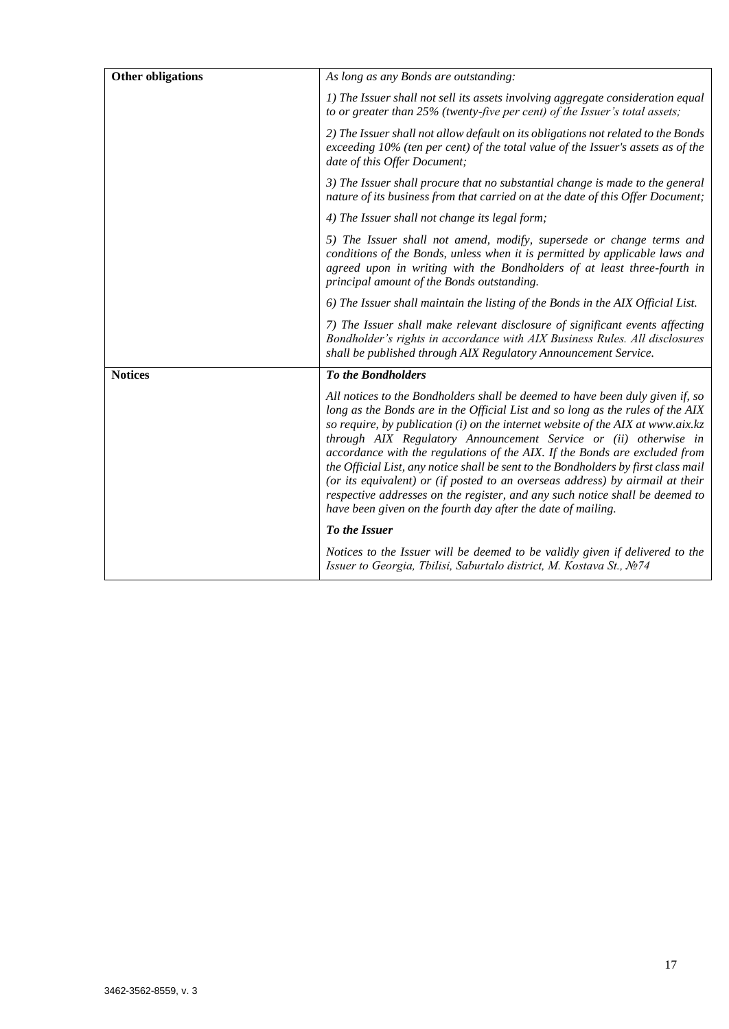| <b>Other obligations</b> | As long as any Bonds are outstanding:                                                                                                                                                                                                                                                                                                                                                                                                                                                                                                                                                                                                                                                                                          |  |
|--------------------------|--------------------------------------------------------------------------------------------------------------------------------------------------------------------------------------------------------------------------------------------------------------------------------------------------------------------------------------------------------------------------------------------------------------------------------------------------------------------------------------------------------------------------------------------------------------------------------------------------------------------------------------------------------------------------------------------------------------------------------|--|
|                          | 1) The Issuer shall not sell its assets involving aggregate consideration equal<br>to or greater than 25% (twenty-five per cent) of the Issuer's total assets;                                                                                                                                                                                                                                                                                                                                                                                                                                                                                                                                                                 |  |
|                          | 2) The Issuer shall not allow default on its obligations not related to the Bonds<br>exceeding 10% (ten per cent) of the total value of the Issuer's assets as of the<br>date of this Offer Document;                                                                                                                                                                                                                                                                                                                                                                                                                                                                                                                          |  |
|                          | 3) The Issuer shall procure that no substantial change is made to the general<br>nature of its business from that carried on at the date of this Offer Document;                                                                                                                                                                                                                                                                                                                                                                                                                                                                                                                                                               |  |
|                          | 4) The Issuer shall not change its legal form;                                                                                                                                                                                                                                                                                                                                                                                                                                                                                                                                                                                                                                                                                 |  |
|                          | 5) The Issuer shall not amend, modify, supersede or change terms and<br>conditions of the Bonds, unless when it is permitted by applicable laws and<br>agreed upon in writing with the Bondholders of at least three-fourth in<br>principal amount of the Bonds outstanding.                                                                                                                                                                                                                                                                                                                                                                                                                                                   |  |
|                          | 6) The Issuer shall maintain the listing of the Bonds in the AIX Official List.                                                                                                                                                                                                                                                                                                                                                                                                                                                                                                                                                                                                                                                |  |
|                          | 7) The Issuer shall make relevant disclosure of significant events affecting<br>Bondholder's rights in accordance with AIX Business Rules. All disclosures<br>shall be published through AIX Regulatory Announcement Service.                                                                                                                                                                                                                                                                                                                                                                                                                                                                                                  |  |
| <b>Notices</b>           | <b>To the Bondholders</b>                                                                                                                                                                                                                                                                                                                                                                                                                                                                                                                                                                                                                                                                                                      |  |
|                          | All notices to the Bondholders shall be deemed to have been duly given if, so<br>long as the Bonds are in the Official List and so long as the rules of the AIX<br>so require, by publication (i) on the internet website of the AIX at www.aix. $kz$<br>through AIX Regulatory Announcement Service or (ii) otherwise in<br>accordance with the regulations of the AIX. If the Bonds are excluded from<br>the Official List, any notice shall be sent to the Bondholders by first class mail<br>(or its equivalent) or (if posted to an overseas address) by airmail at their<br>respective addresses on the register, and any such notice shall be deemed to<br>have been given on the fourth day after the date of mailing. |  |
|                          | To the Issuer                                                                                                                                                                                                                                                                                                                                                                                                                                                                                                                                                                                                                                                                                                                  |  |
|                          | Notices to the Issuer will be deemed to be validly given if delivered to the<br>Issuer to Georgia, Tbilisi, Saburtalo district, M. Kostava St., Nº74                                                                                                                                                                                                                                                                                                                                                                                                                                                                                                                                                                           |  |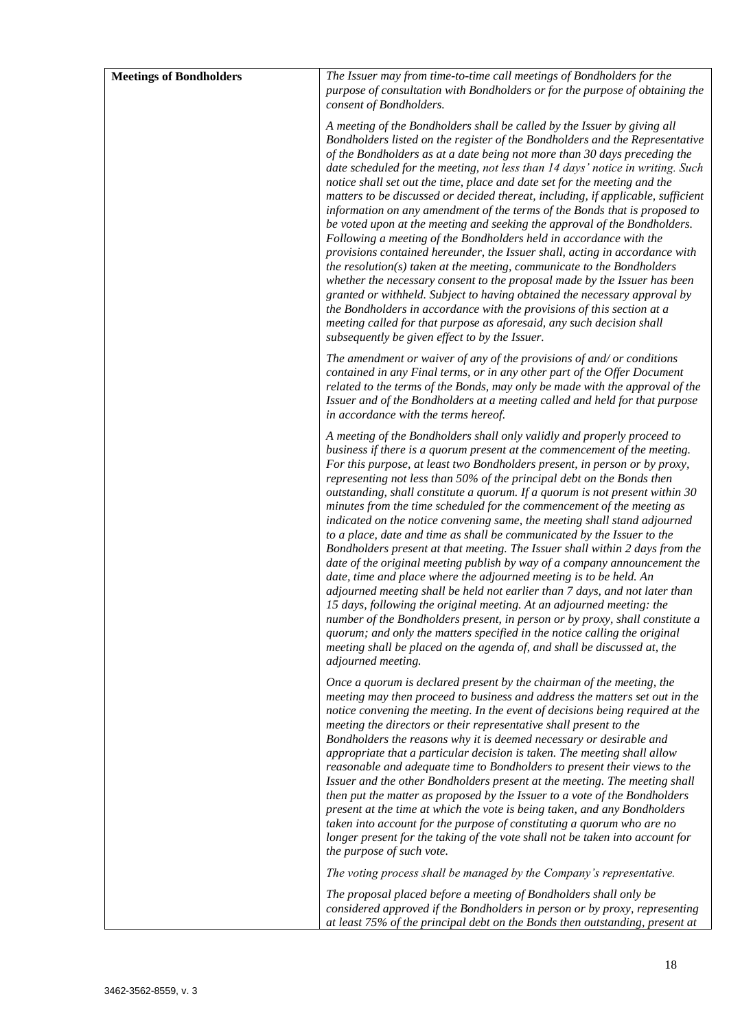| <b>Meetings of Bondholders</b> | The Issuer may from time-to-time call meetings of Bondholders for the                                                                                                                                                                                                                                                                                                                                                                                                                                                                                                                                                                                                                                                                                                                                                                                                                                                                                                                                                                                                                                                                                                                                                                                                                    |
|--------------------------------|------------------------------------------------------------------------------------------------------------------------------------------------------------------------------------------------------------------------------------------------------------------------------------------------------------------------------------------------------------------------------------------------------------------------------------------------------------------------------------------------------------------------------------------------------------------------------------------------------------------------------------------------------------------------------------------------------------------------------------------------------------------------------------------------------------------------------------------------------------------------------------------------------------------------------------------------------------------------------------------------------------------------------------------------------------------------------------------------------------------------------------------------------------------------------------------------------------------------------------------------------------------------------------------|
|                                | purpose of consultation with Bondholders or for the purpose of obtaining the<br>consent of Bondholders.                                                                                                                                                                                                                                                                                                                                                                                                                                                                                                                                                                                                                                                                                                                                                                                                                                                                                                                                                                                                                                                                                                                                                                                  |
|                                | A meeting of the Bondholders shall be called by the Issuer by giving all<br>Bondholders listed on the register of the Bondholders and the Representative<br>of the Bondholders as at a date being not more than 30 days preceding the<br>date scheduled for the meeting, not less than 14 days' notice in writing. Such<br>notice shall set out the time, place and date set for the meeting and the<br>matters to be discussed or decided thereat, including, if applicable, sufficient<br>information on any amendment of the terms of the Bonds that is proposed to<br>be voted upon at the meeting and seeking the approval of the Bondholders.<br>Following a meeting of the Bondholders held in accordance with the<br>provisions contained hereunder, the Issuer shall, acting in accordance with<br>the resolution( $s$ ) taken at the meeting, communicate to the Bondholders<br>whether the necessary consent to the proposal made by the Issuer has been<br>granted or withheld. Subject to having obtained the necessary approval by<br>the Bondholders in accordance with the provisions of this section at a<br>meeting called for that purpose as aforesaid, any such decision shall<br>subsequently be given effect to by the Issuer.                                    |
|                                | The amendment or waiver of any of the provisions of and/or conditions<br>contained in any Final terms, or in any other part of the Offer Document<br>related to the terms of the Bonds, may only be made with the approval of the<br>Issuer and of the Bondholders at a meeting called and held for that purpose<br>in accordance with the terms hereof.                                                                                                                                                                                                                                                                                                                                                                                                                                                                                                                                                                                                                                                                                                                                                                                                                                                                                                                                 |
|                                | A meeting of the Bondholders shall only validly and properly proceed to<br>business if there is a quorum present at the commencement of the meeting.<br>For this purpose, at least two Bondholders present, in person or by proxy,<br>representing not less than 50% of the principal debt on the Bonds then<br>outstanding, shall constitute a quorum. If a quorum is not present within 30<br>minutes from the time scheduled for the commencement of the meeting as<br>indicated on the notice convening same, the meeting shall stand adjourned<br>to a place, date and time as shall be communicated by the Issuer to the<br>Bondholders present at that meeting. The Issuer shall within 2 days from the<br>date of the original meeting publish by way of a company announcement the<br>date, time and place where the adjourned meeting is to be held. An<br>adjourned meeting shall be held not earlier than 7 days, and not later than<br>15 days, following the original meeting. At an adjourned meeting: the<br>number of the Bondholders present, in person or by proxy, shall constitute a<br>quorum; and only the matters specified in the notice calling the original<br>meeting shall be placed on the agenda of, and shall be discussed at, the<br>adjourned meeting. |
|                                | Once a quorum is declared present by the chairman of the meeting, the<br>meeting may then proceed to business and address the matters set out in the<br>notice convening the meeting. In the event of decisions being required at the<br>meeting the directors or their representative shall present to the<br>Bondholders the reasons why it is deemed necessary or desirable and<br>appropriate that a particular decision is taken. The meeting shall allow<br>reasonable and adequate time to Bondholders to present their views to the<br>Issuer and the other Bondholders present at the meeting. The meeting shall<br>then put the matter as proposed by the Issuer to a vote of the Bondholders<br>present at the time at which the vote is being taken, and any Bondholders<br>taken into account for the purpose of constituting a quorum who are no<br>longer present for the taking of the vote shall not be taken into account for<br>the purpose of such vote.                                                                                                                                                                                                                                                                                                             |
|                                | The voting process shall be managed by the Company's representative.                                                                                                                                                                                                                                                                                                                                                                                                                                                                                                                                                                                                                                                                                                                                                                                                                                                                                                                                                                                                                                                                                                                                                                                                                     |
|                                | The proposal placed before a meeting of Bondholders shall only be<br>considered approved if the Bondholders in person or by proxy, representing<br>at least 75% of the principal debt on the Bonds then outstanding, present at                                                                                                                                                                                                                                                                                                                                                                                                                                                                                                                                                                                                                                                                                                                                                                                                                                                                                                                                                                                                                                                          |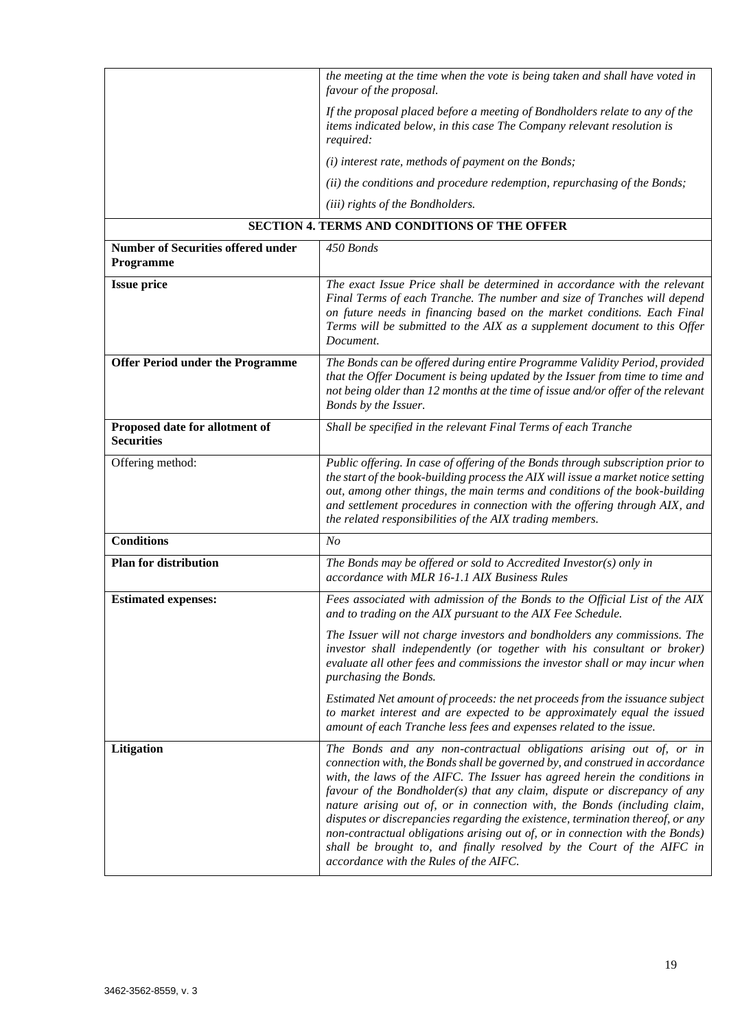|                                                        | the meeting at the time when the vote is being taken and shall have voted in<br>favour of the proposal.                                                                                                                                                                                                                                                                                                                                                                                                                                                                                                                                                                          |  |
|--------------------------------------------------------|----------------------------------------------------------------------------------------------------------------------------------------------------------------------------------------------------------------------------------------------------------------------------------------------------------------------------------------------------------------------------------------------------------------------------------------------------------------------------------------------------------------------------------------------------------------------------------------------------------------------------------------------------------------------------------|--|
|                                                        | If the proposal placed before a meeting of Bondholders relate to any of the<br>items indicated below, in this case The Company relevant resolution is<br>required:                                                                                                                                                                                                                                                                                                                                                                                                                                                                                                               |  |
|                                                        | (i) interest rate, methods of payment on the Bonds;                                                                                                                                                                                                                                                                                                                                                                                                                                                                                                                                                                                                                              |  |
|                                                        | (ii) the conditions and procedure redemption, repurchasing of the Bonds;                                                                                                                                                                                                                                                                                                                                                                                                                                                                                                                                                                                                         |  |
|                                                        | (iii) rights of the Bondholders.                                                                                                                                                                                                                                                                                                                                                                                                                                                                                                                                                                                                                                                 |  |
|                                                        | <b>SECTION 4. TERMS AND CONDITIONS OF THE OFFER</b>                                                                                                                                                                                                                                                                                                                                                                                                                                                                                                                                                                                                                              |  |
| <b>Number of Securities offered under</b><br>Programme | 450 Bonds                                                                                                                                                                                                                                                                                                                                                                                                                                                                                                                                                                                                                                                                        |  |
| <b>Issue price</b>                                     | The exact Issue Price shall be determined in accordance with the relevant<br>Final Terms of each Tranche. The number and size of Tranches will depend<br>on future needs in financing based on the market conditions. Each Final<br>Terms will be submitted to the AIX as a supplement document to this Offer<br>Document.                                                                                                                                                                                                                                                                                                                                                       |  |
| <b>Offer Period under the Programme</b>                | The Bonds can be offered during entire Programme Validity Period, provided<br>that the Offer Document is being updated by the Issuer from time to time and<br>not being older than 12 months at the time of issue and/or offer of the relevant<br>Bonds by the Issuer.                                                                                                                                                                                                                                                                                                                                                                                                           |  |
| Proposed date for allotment of<br><b>Securities</b>    | Shall be specified in the relevant Final Terms of each Tranche                                                                                                                                                                                                                                                                                                                                                                                                                                                                                                                                                                                                                   |  |
| Offering method:                                       | Public offering. In case of offering of the Bonds through subscription prior to<br>the start of the book-building process the AIX will issue a market notice setting<br>out, among other things, the main terms and conditions of the book-building<br>and settlement procedures in connection with the offering through AIX, and<br>the related responsibilities of the AIX trading members.                                                                                                                                                                                                                                                                                    |  |
| <b>Conditions</b>                                      | N <sub>O</sub>                                                                                                                                                                                                                                                                                                                                                                                                                                                                                                                                                                                                                                                                   |  |
| <b>Plan for distribution</b>                           | The Bonds may be offered or sold to Accredited Investor( $s$ ) only in<br>accordance with MLR 16-1.1 AIX Business Rules                                                                                                                                                                                                                                                                                                                                                                                                                                                                                                                                                          |  |
| <b>Estimated expenses:</b>                             | Fees associated with admission of the Bonds to the Official List of the AIX<br>and to trading on the AIX pursuant to the AIX Fee Schedule.                                                                                                                                                                                                                                                                                                                                                                                                                                                                                                                                       |  |
|                                                        | The Issuer will not charge investors and bondholders any commissions. The<br>investor shall independently (or together with his consultant or broker)<br>evaluate all other fees and commissions the investor shall or may incur when<br>purchasing the Bonds.                                                                                                                                                                                                                                                                                                                                                                                                                   |  |
|                                                        | Estimated Net amount of proceeds: the net proceeds from the issuance subject<br>to market interest and are expected to be approximately equal the issued<br>amount of each Tranche less fees and expenses related to the issue.                                                                                                                                                                                                                                                                                                                                                                                                                                                  |  |
| Litigation                                             | The Bonds and any non-contractual obligations arising out of, or in<br>connection with, the Bonds shall be governed by, and construed in accordance<br>with, the laws of the AIFC. The Issuer has agreed herein the conditions in<br>favour of the Bondholder(s) that any claim, dispute or discrepancy of any<br>nature arising out of, or in connection with, the Bonds (including claim,<br>disputes or discrepancies regarding the existence, termination thereof, or any<br>non-contractual obligations arising out of, or in connection with the Bonds)<br>shall be brought to, and finally resolved by the Court of the AIFC in<br>accordance with the Rules of the AIFC. |  |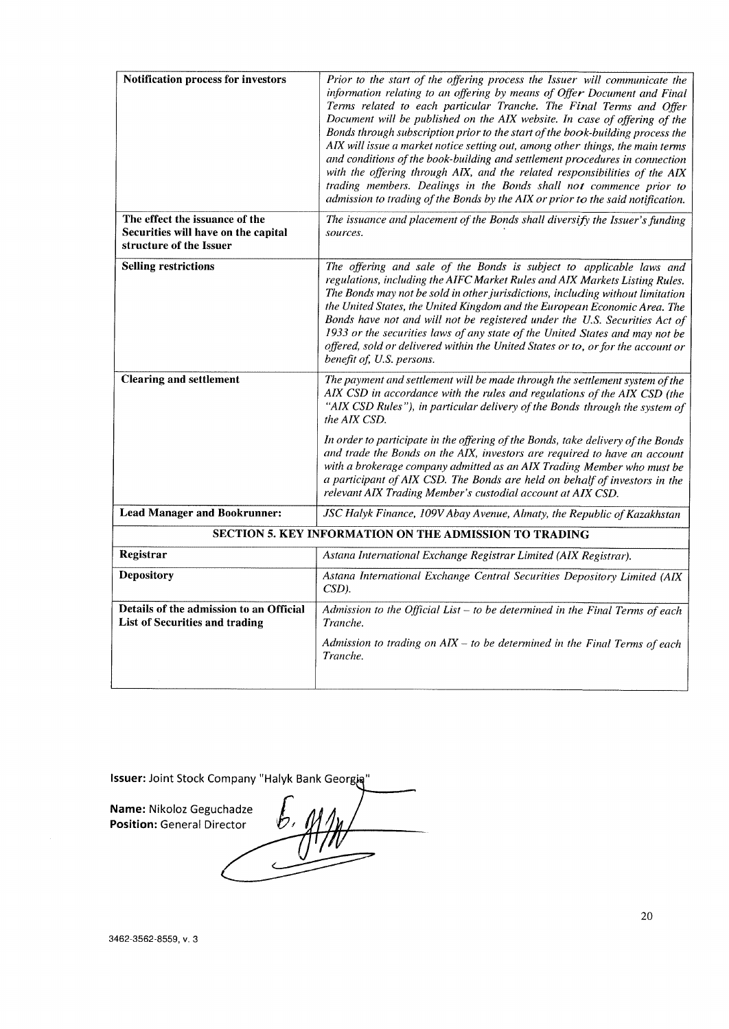| <b>Notification process for investors</b>                                                        | Prior to the start of the offering process the Issuer will communicate the<br>information relating to an offering by means of Offer Document and Final<br>Terms related to each particular Tranche. The Final Terms and Offer<br>Document will be published on the AIX website. In case of offering of the<br>Bonds through subscription prior to the start of the book-building process the<br>AIX will issue a market notice setting out, among other things, the main terms<br>and conditions of the book-building and settlement procedures in connection<br>with the offering through AIX, and the related responsibilities of the AIX<br>trading members. Dealings in the Bonds shall not commence prior to<br>admission to trading of the Bonds by the AIX or prior to the said notification. |  |  |
|--------------------------------------------------------------------------------------------------|------------------------------------------------------------------------------------------------------------------------------------------------------------------------------------------------------------------------------------------------------------------------------------------------------------------------------------------------------------------------------------------------------------------------------------------------------------------------------------------------------------------------------------------------------------------------------------------------------------------------------------------------------------------------------------------------------------------------------------------------------------------------------------------------------|--|--|
| The effect the issuance of the<br>Securities will have on the capital<br>structure of the Issuer | The issuance and placement of the Bonds shall diversify the Issuer's funding<br>sources.                                                                                                                                                                                                                                                                                                                                                                                                                                                                                                                                                                                                                                                                                                             |  |  |
| <b>Selling restrictions</b>                                                                      | The offering and sale of the Bonds is subject to applicable laws and<br>regulations, including the AIFC Market Rules and AIX Markets Listing Rules.<br>The Bonds may not be sold in other jurisdictions, including without limitation<br>the United States, the United Kingdom and the European Economic Area. The<br>Bonds have not and will not be registered under the U.S. Securities Act of<br>1933 or the securities laws of any state of the United States and may not be<br>offered, sold or delivered within the United States or to, or for the account or<br>benefit of, U.S. persons.                                                                                                                                                                                                    |  |  |
| <b>Clearing and settlement</b>                                                                   | The payment and settlement will be made through the settlement system of the<br>AIX CSD in accordance with the rules and regulations of the AIX CSD (the<br>"AIX CSD Rules"), in particular delivery of the Bonds through the system of<br>the AIX CSD.                                                                                                                                                                                                                                                                                                                                                                                                                                                                                                                                              |  |  |
|                                                                                                  | In order to participate in the offering of the Bonds, take delivery of the Bonds<br>and trade the Bonds on the AIX, investors are required to have an account<br>with a brokerage company admitted as an AIX Trading Member who must be<br>a participant of AIX CSD. The Bonds are held on behalf of investors in the<br>relevant AIX Trading Member's custodial account at AIX CSD.                                                                                                                                                                                                                                                                                                                                                                                                                 |  |  |
| <b>Lead Manager and Bookrunner:</b>                                                              | JSC Halyk Finance, 109V Abay Avenue, Almaty, the Republic of Kazakhstan                                                                                                                                                                                                                                                                                                                                                                                                                                                                                                                                                                                                                                                                                                                              |  |  |
|                                                                                                  | SECTION 5. KEY INFORMATION ON THE ADMISSION TO TRADING                                                                                                                                                                                                                                                                                                                                                                                                                                                                                                                                                                                                                                                                                                                                               |  |  |
| Registrar                                                                                        | Astana International Exchange Registrar Limited (AIX Registrar).                                                                                                                                                                                                                                                                                                                                                                                                                                                                                                                                                                                                                                                                                                                                     |  |  |
| <b>Depository</b>                                                                                | Astana International Exchange Central Securities Depository Limited (AIX<br>$CSD$ ).                                                                                                                                                                                                                                                                                                                                                                                                                                                                                                                                                                                                                                                                                                                 |  |  |
| Details of the admission to an Official<br><b>List of Securities and trading</b>                 | Admission to the Official List $-$ to be determined in the Final Terms of each<br>Tranche.                                                                                                                                                                                                                                                                                                                                                                                                                                                                                                                                                                                                                                                                                                           |  |  |
|                                                                                                  | Admission to trading on $AIX - to$ be determined in the Final Terms of each<br>Tranche.                                                                                                                                                                                                                                                                                                                                                                                                                                                                                                                                                                                                                                                                                                              |  |  |

Issuer: Joint Stock Company "Halyk Bank Georgia"

Name: Nikoloz Geguchadze **Position: General Director**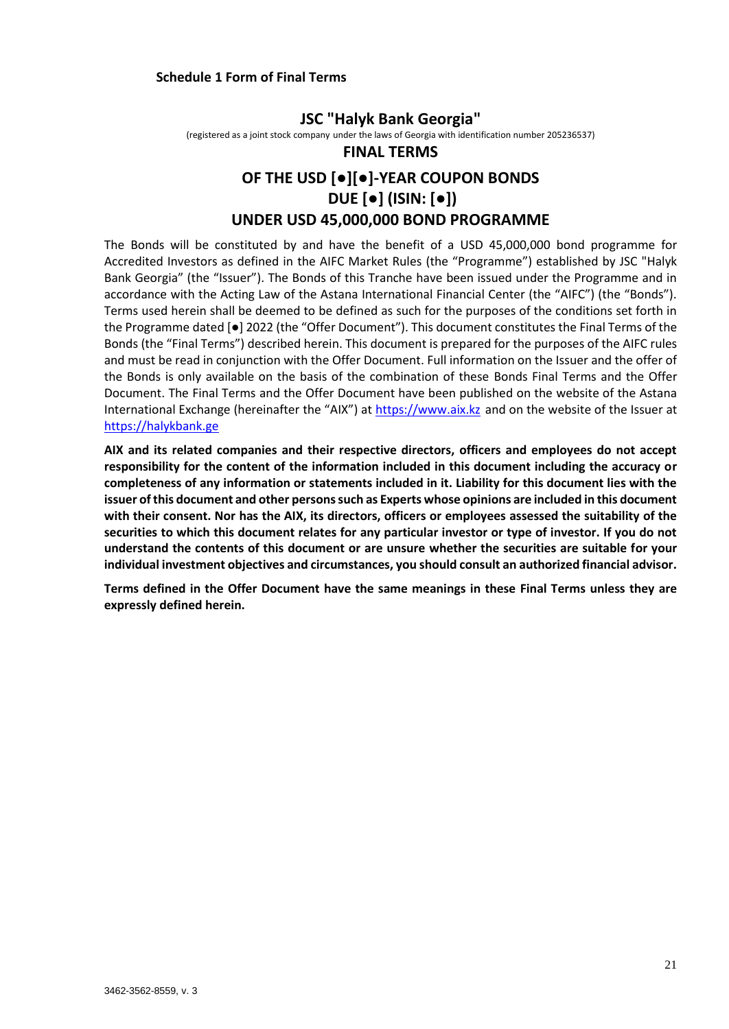# **Schedule 1 Form of Final Terms**

**JSC "Halyk Bank Georgia"** (registered as a joint stock company under the laws of Georgia with identification number 205236537)

# **FINAL TERMS OF THE USD [●][●]-YEAR COUPON BONDS DUE [●] (ISIN: [●]) UNDER USD 45,000,000 BOND PROGRAMME**

The Bonds will be constituted by and have the benefit of a USD 45,000,000 bond programme for Accredited Investors as defined in the AIFC Market Rules (the "Programme") established by JSC "Halyk Bank Georgia" (the "Issuer"). The Bonds of this Tranche have been issued under the Programme and in accordance with the Acting Law of the Astana International Financial Center (the "AIFC") (the "Bonds"). Terms used herein shall be deemed to be defined as such for the purposes of the conditions set forth in the Programme dated [●] 2022 (the "Offer Document"). This document constitutes the Final Terms of the Bonds (the "Final Terms") described herein. This document is prepared for the purposes of the AIFC rules and must be read in conjunction with the Offer Document. Full information on the Issuer and the offer of the Bonds is only available on the basis of the combination of these Bonds Final Terms and the Offer Document. The Final Terms and the Offer Document have been published on the website of the Astana International Exchange (hereinafter the "AIX") at [https://www.aix.kz](https://www.aix.kz/) and on the website of the Issuer at [https://halykbank.ge](https://halykbank.ge/)

**AIX and its related companies and their respective directors, officers and employees do not accept responsibility for the content of the information included in this document including the accuracy or completeness of any information or statements included in it. Liability for this document lies with the issuer of this document and other persons such as Experts whose opinions are included in this document with their consent. Nor has the AIX, its directors, officers or employees assessed the suitability of the securities to which this document relates for any particular investor or type of investor. If you do not understand the contents of this document or are unsure whether the securities are suitable for your individual investment objectives and circumstances, you should consult an authorized financial advisor.** 

**Terms defined in the Offer Document have the same meanings in these Final Terms unless they are expressly defined herein.**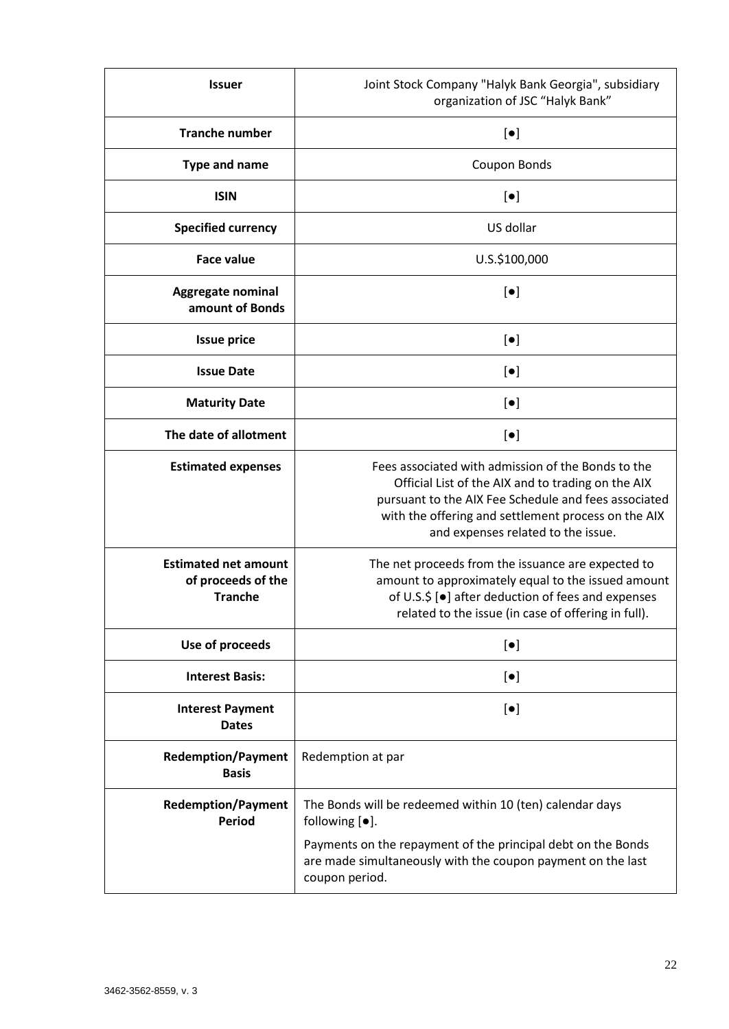| <b>Issuer</b>                                                       | Joint Stock Company "Halyk Bank Georgia", subsidiary<br>organization of JSC "Halyk Bank"                                                                                                                                                                      |  |
|---------------------------------------------------------------------|---------------------------------------------------------------------------------------------------------------------------------------------------------------------------------------------------------------------------------------------------------------|--|
| <b>Tranche number</b>                                               | $\left[\bullet\right]$                                                                                                                                                                                                                                        |  |
| <b>Type and name</b>                                                | Coupon Bonds                                                                                                                                                                                                                                                  |  |
| <b>ISIN</b>                                                         | $[\bullet]$                                                                                                                                                                                                                                                   |  |
| <b>Specified currency</b>                                           | US dollar                                                                                                                                                                                                                                                     |  |
| <b>Face value</b>                                                   | U.S.\$100,000                                                                                                                                                                                                                                                 |  |
| Aggregate nominal<br>amount of Bonds                                | $\left[\bullet\right]$                                                                                                                                                                                                                                        |  |
| <b>Issue price</b>                                                  | $[\bullet]$                                                                                                                                                                                                                                                   |  |
| <b>Issue Date</b>                                                   | $[\bullet]$                                                                                                                                                                                                                                                   |  |
| <b>Maturity Date</b>                                                | $\left[\bullet\right]$                                                                                                                                                                                                                                        |  |
| The date of allotment                                               | $\left[\bullet\right]$                                                                                                                                                                                                                                        |  |
| <b>Estimated expenses</b>                                           | Fees associated with admission of the Bonds to the<br>Official List of the AIX and to trading on the AIX<br>pursuant to the AIX Fee Schedule and fees associated<br>with the offering and settlement process on the AIX<br>and expenses related to the issue. |  |
| <b>Estimated net amount</b><br>of proceeds of the<br><b>Tranche</b> | The net proceeds from the issuance are expected to<br>amount to approximately equal to the issued amount<br>of U.S.\$ [ $\bullet$ ] after deduction of fees and expenses<br>related to the issue (in case of offering in full)                                |  |
| Use of proceeds                                                     | $[\bullet]$                                                                                                                                                                                                                                                   |  |
| <b>Interest Basis:</b>                                              | $\left[\bullet\right]$                                                                                                                                                                                                                                        |  |
| <b>Interest Payment</b><br><b>Dates</b>                             | $[\bullet]$                                                                                                                                                                                                                                                   |  |
| <b>Redemption/Payment</b><br><b>Basis</b>                           | Redemption at par                                                                                                                                                                                                                                             |  |
| <b>Redemption/Payment</b><br><b>Period</b>                          | The Bonds will be redeemed within 10 (ten) calendar days<br>following $[•]$ .                                                                                                                                                                                 |  |
|                                                                     | Payments on the repayment of the principal debt on the Bonds<br>are made simultaneously with the coupon payment on the last<br>coupon period.                                                                                                                 |  |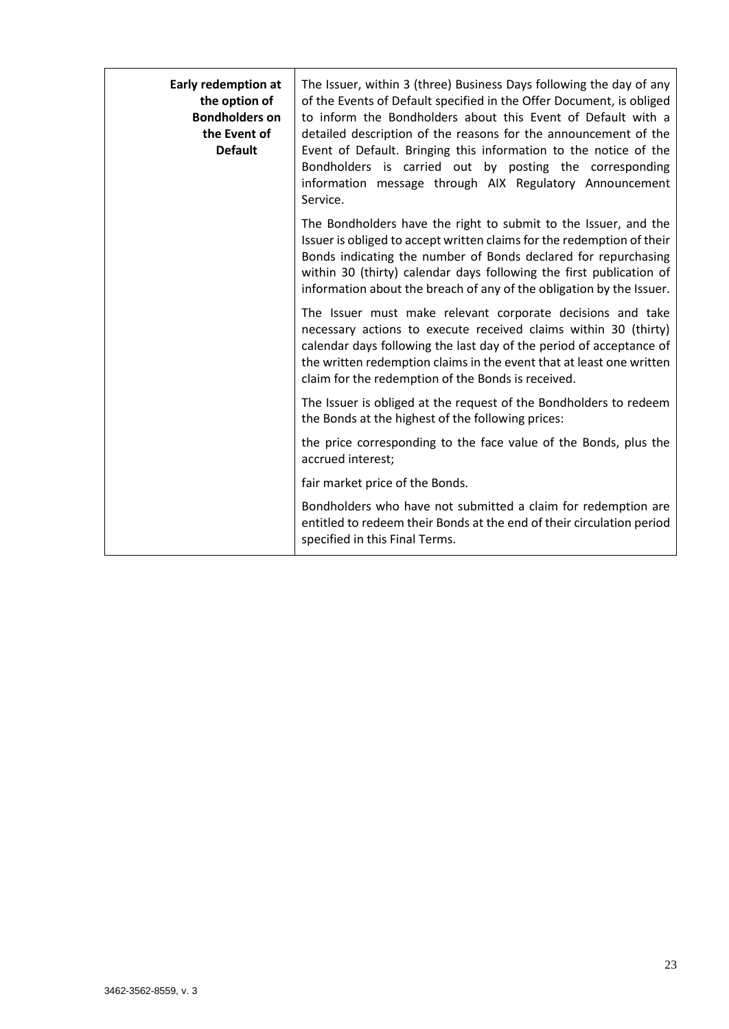| Early redemption at<br>the option of<br><b>Bondholders on</b><br>the Event of<br><b>Default</b> | The Issuer, within 3 (three) Business Days following the day of any<br>of the Events of Default specified in the Offer Document, is obliged<br>to inform the Bondholders about this Event of Default with a<br>detailed description of the reasons for the announcement of the<br>Event of Default. Bringing this information to the notice of the<br>Bondholders is carried out by posting the corresponding<br>information message through AIX Regulatory Announcement<br>Service. |
|-------------------------------------------------------------------------------------------------|--------------------------------------------------------------------------------------------------------------------------------------------------------------------------------------------------------------------------------------------------------------------------------------------------------------------------------------------------------------------------------------------------------------------------------------------------------------------------------------|
|                                                                                                 | The Bondholders have the right to submit to the Issuer, and the<br>Issuer is obliged to accept written claims for the redemption of their<br>Bonds indicating the number of Bonds declared for repurchasing<br>within 30 (thirty) calendar days following the first publication of<br>information about the breach of any of the obligation by the Issuer.                                                                                                                           |
|                                                                                                 | The Issuer must make relevant corporate decisions and take<br>necessary actions to execute received claims within 30 (thirty)<br>calendar days following the last day of the period of acceptance of<br>the written redemption claims in the event that at least one written<br>claim for the redemption of the Bonds is received.                                                                                                                                                   |
|                                                                                                 | The Issuer is obliged at the request of the Bondholders to redeem<br>the Bonds at the highest of the following prices:                                                                                                                                                                                                                                                                                                                                                               |
|                                                                                                 | the price corresponding to the face value of the Bonds, plus the<br>accrued interest;                                                                                                                                                                                                                                                                                                                                                                                                |
|                                                                                                 | fair market price of the Bonds.                                                                                                                                                                                                                                                                                                                                                                                                                                                      |
|                                                                                                 | Bondholders who have not submitted a claim for redemption are<br>entitled to redeem their Bonds at the end of their circulation period<br>specified in this Final Terms.                                                                                                                                                                                                                                                                                                             |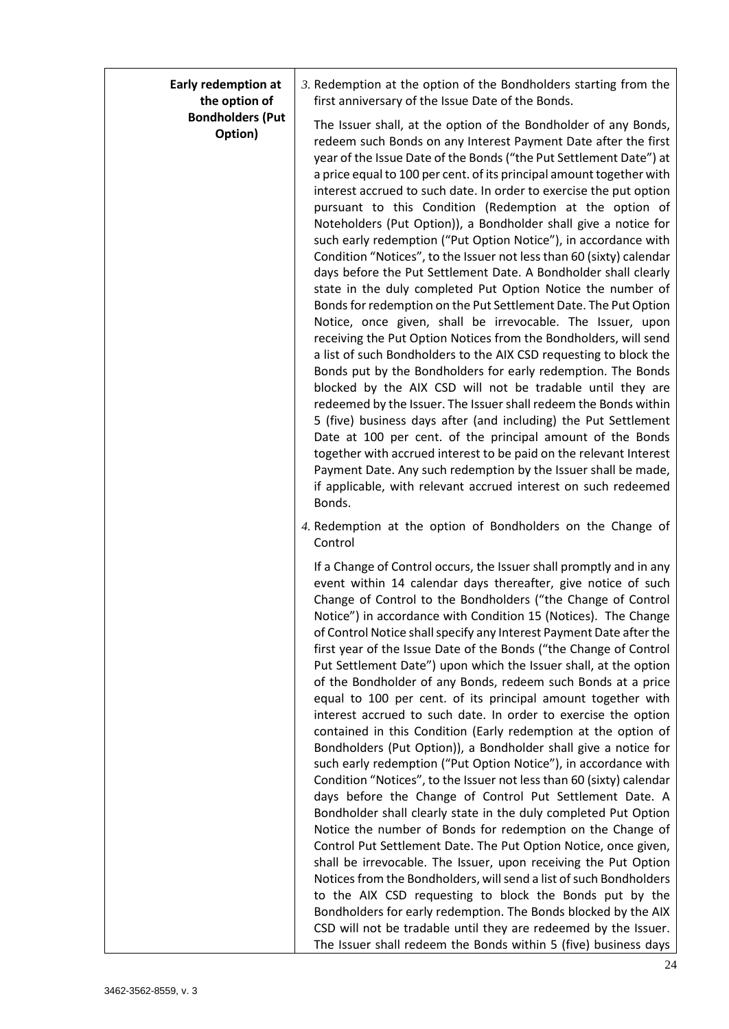| <b>Early redemption at</b><br>the option of | 3. Redemption at the option of the Bondholders starting from the<br>first anniversary of the Issue Date of the Bonds.                                                                                                                                                                                                                                                                                                                                                                                                                                                                                                                                                                                                                                                                                                                                                                                                                                                                                                                                                                                                                                                                                                                                                                                                                                                                                                                                                                                                                                                                                                                                |
|---------------------------------------------|------------------------------------------------------------------------------------------------------------------------------------------------------------------------------------------------------------------------------------------------------------------------------------------------------------------------------------------------------------------------------------------------------------------------------------------------------------------------------------------------------------------------------------------------------------------------------------------------------------------------------------------------------------------------------------------------------------------------------------------------------------------------------------------------------------------------------------------------------------------------------------------------------------------------------------------------------------------------------------------------------------------------------------------------------------------------------------------------------------------------------------------------------------------------------------------------------------------------------------------------------------------------------------------------------------------------------------------------------------------------------------------------------------------------------------------------------------------------------------------------------------------------------------------------------------------------------------------------------------------------------------------------------|
| <b>Bondholders (Put</b><br>Option)          | The Issuer shall, at the option of the Bondholder of any Bonds,<br>redeem such Bonds on any Interest Payment Date after the first<br>year of the Issue Date of the Bonds ("the Put Settlement Date") at<br>a price equal to 100 per cent. of its principal amount together with<br>interest accrued to such date. In order to exercise the put option<br>pursuant to this Condition (Redemption at the option of<br>Noteholders (Put Option)), a Bondholder shall give a notice for<br>such early redemption ("Put Option Notice"), in accordance with<br>Condition "Notices", to the Issuer not less than 60 (sixty) calendar<br>days before the Put Settlement Date. A Bondholder shall clearly<br>state in the duly completed Put Option Notice the number of<br>Bonds for redemption on the Put Settlement Date. The Put Option<br>Notice, once given, shall be irrevocable. The Issuer, upon<br>receiving the Put Option Notices from the Bondholders, will send<br>a list of such Bondholders to the AIX CSD requesting to block the<br>Bonds put by the Bondholders for early redemption. The Bonds<br>blocked by the AIX CSD will not be tradable until they are<br>redeemed by the Issuer. The Issuer shall redeem the Bonds within<br>5 (five) business days after (and including) the Put Settlement<br>Date at 100 per cent. of the principal amount of the Bonds<br>together with accrued interest to be paid on the relevant Interest<br>Payment Date. Any such redemption by the Issuer shall be made,<br>if applicable, with relevant accrued interest on such redeemed<br>Bonds.                                                    |
|                                             | 4. Redemption at the option of Bondholders on the Change of<br>Control                                                                                                                                                                                                                                                                                                                                                                                                                                                                                                                                                                                                                                                                                                                                                                                                                                                                                                                                                                                                                                                                                                                                                                                                                                                                                                                                                                                                                                                                                                                                                                               |
|                                             | If a Change of Control occurs, the Issuer shall promptly and in any<br>event within 14 calendar days thereafter, give notice of such<br>Change of Control to the Bondholders ("the Change of Control<br>Notice") in accordance with Condition 15 (Notices). The Change<br>of Control Notice shall specify any Interest Payment Date after the<br>first year of the Issue Date of the Bonds ("the Change of Control<br>Put Settlement Date") upon which the Issuer shall, at the option<br>of the Bondholder of any Bonds, redeem such Bonds at a price<br>equal to 100 per cent. of its principal amount together with<br>interest accrued to such date. In order to exercise the option<br>contained in this Condition (Early redemption at the option of<br>Bondholders (Put Option)), a Bondholder shall give a notice for<br>such early redemption ("Put Option Notice"), in accordance with<br>Condition "Notices", to the Issuer not less than 60 (sixty) calendar<br>days before the Change of Control Put Settlement Date. A<br>Bondholder shall clearly state in the duly completed Put Option<br>Notice the number of Bonds for redemption on the Change of<br>Control Put Settlement Date. The Put Option Notice, once given,<br>shall be irrevocable. The Issuer, upon receiving the Put Option<br>Notices from the Bondholders, will send a list of such Bondholders<br>to the AIX CSD requesting to block the Bonds put by the<br>Bondholders for early redemption. The Bonds blocked by the AIX<br>CSD will not be tradable until they are redeemed by the Issuer.<br>The Issuer shall redeem the Bonds within 5 (five) business days |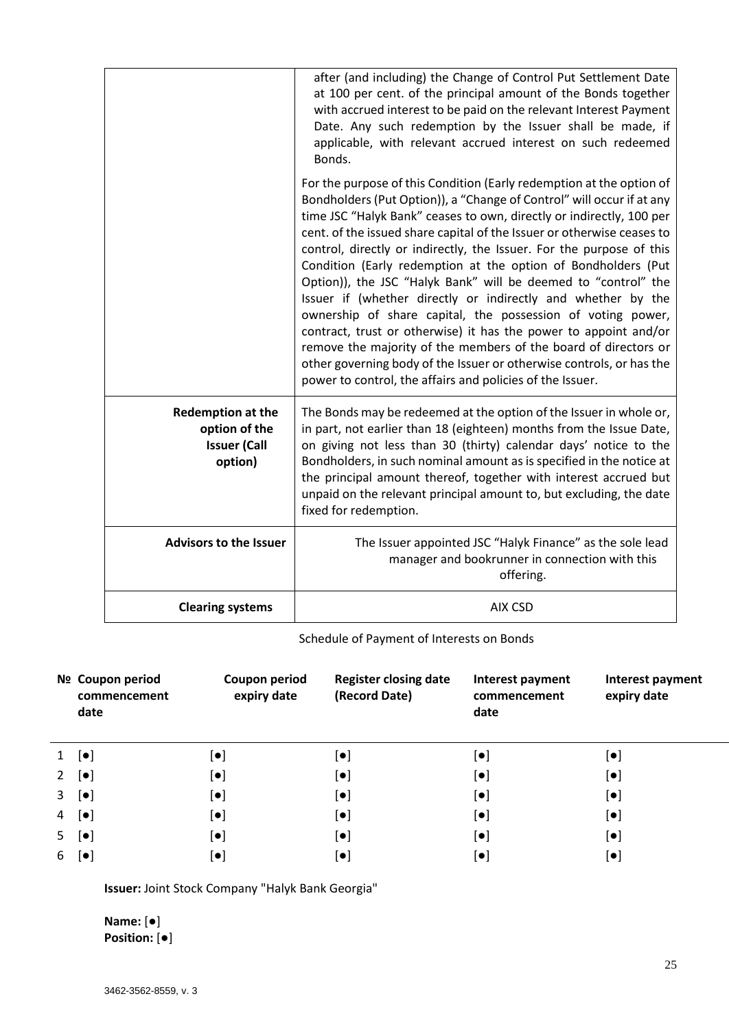|                                                                             | after (and including) the Change of Control Put Settlement Date<br>at 100 per cent. of the principal amount of the Bonds together<br>with accrued interest to be paid on the relevant Interest Payment<br>Date. Any such redemption by the Issuer shall be made, if<br>applicable, with relevant accrued interest on such redeemed<br>Bonds.                                                                                                                                                                                                                                                                                                                                                                                                                                                                                                                                                                          |
|-----------------------------------------------------------------------------|-----------------------------------------------------------------------------------------------------------------------------------------------------------------------------------------------------------------------------------------------------------------------------------------------------------------------------------------------------------------------------------------------------------------------------------------------------------------------------------------------------------------------------------------------------------------------------------------------------------------------------------------------------------------------------------------------------------------------------------------------------------------------------------------------------------------------------------------------------------------------------------------------------------------------|
|                                                                             | For the purpose of this Condition (Early redemption at the option of<br>Bondholders (Put Option)), a "Change of Control" will occur if at any<br>time JSC "Halyk Bank" ceases to own, directly or indirectly, 100 per<br>cent. of the issued share capital of the Issuer or otherwise ceases to<br>control, directly or indirectly, the Issuer. For the purpose of this<br>Condition (Early redemption at the option of Bondholders (Put<br>Option)), the JSC "Halyk Bank" will be deemed to "control" the<br>Issuer if (whether directly or indirectly and whether by the<br>ownership of share capital, the possession of voting power,<br>contract, trust or otherwise) it has the power to appoint and/or<br>remove the majority of the members of the board of directors or<br>other governing body of the Issuer or otherwise controls, or has the<br>power to control, the affairs and policies of the Issuer. |
| <b>Redemption at the</b><br>option of the<br><b>Issuer (Call</b><br>option) | The Bonds may be redeemed at the option of the Issuer in whole or,<br>in part, not earlier than 18 (eighteen) months from the Issue Date,<br>on giving not less than 30 (thirty) calendar days' notice to the<br>Bondholders, in such nominal amount as is specified in the notice at<br>the principal amount thereof, together with interest accrued but<br>unpaid on the relevant principal amount to, but excluding, the date<br>fixed for redemption.                                                                                                                                                                                                                                                                                                                                                                                                                                                             |
| <b>Advisors to the Issuer</b>                                               | The Issuer appointed JSC "Halyk Finance" as the sole lead<br>manager and bookrunner in connection with this<br>offering.                                                                                                                                                                                                                                                                                                                                                                                                                                                                                                                                                                                                                                                                                                                                                                                              |
| <b>Clearing systems</b>                                                     | <b>AIX CSD</b>                                                                                                                                                                                                                                                                                                                                                                                                                                                                                                                                                                                                                                                                                                                                                                                                                                                                                                        |

# Schedule of Payment of Interests on Bonds

|    | Nº Coupon period<br>commencement<br>date | Coupon period<br>expiry date | <b>Register closing date</b><br>(Record Date) | Interest payment<br>commencement<br>date | Interest payment<br>expiry date |
|----|------------------------------------------|------------------------------|-----------------------------------------------|------------------------------------------|---------------------------------|
| 1  | $[\bullet]$                              | $[\bullet]$                  | $\left[\bullet\right]$                        | $[\bullet]$                              | $[\bullet]$                     |
| 2  | $[\bullet]$                              | $[\bullet]$                  | $[\bullet]$                                   | $[\bullet]$                              | $[\bullet]$                     |
| 3  | $[\bullet]$                              | $\left[\bullet\right]$       | $\left[\bullet\right]$                        | $\left[ \bullet \right]$                 | $\left[ \bullet \right]$        |
| 4  | $\left[\bullet\right]$                   | $[\bullet]$                  | $[\bullet]$                                   | $[\bullet]$                              | $[\bullet]$                     |
| 5. | $[\bullet]$                              | $[\bullet]$                  | $[\bullet]$                                   | $[\bullet]$                              | $[\bullet]$                     |
| 6  | $\lceil \bullet \rceil$                  | $[\bullet]$                  | $\left[ \bullet \right]$                      | $[\bullet]$                              | $\left[ \bullet \right]$        |

**Issuer:** Joint Stock Company "Halyk Bank Georgia"

**Name:** [●] **Position:** [●]